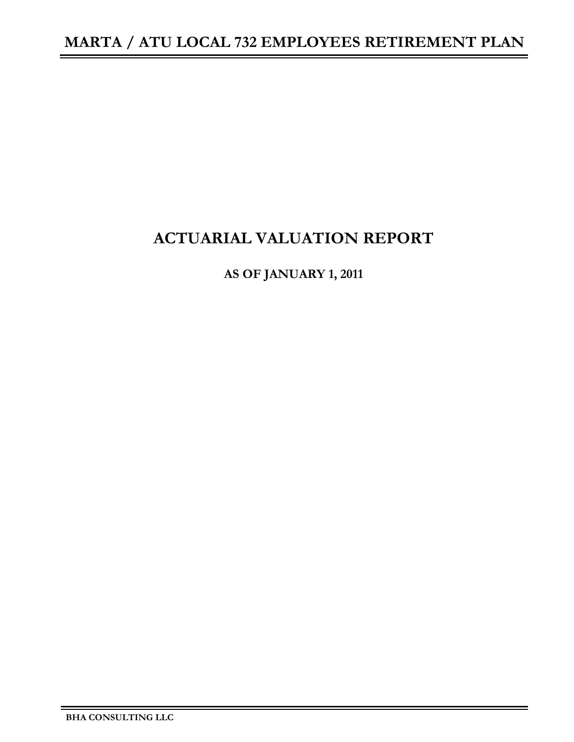## **ACTUARIAL VALUATION REPORT**

**AS OF JANUARY 1, 2011**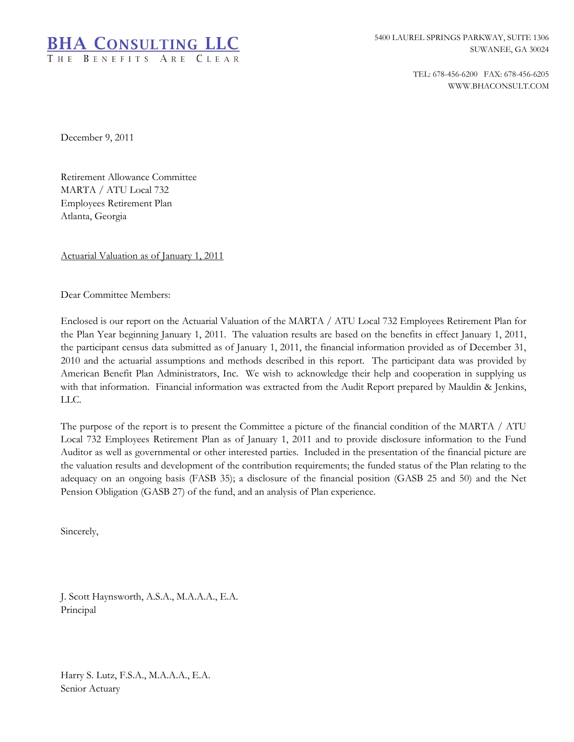

TEL: 678-456-6200 FAX: 678-456-6205 WWW.BHACONSULT.COM

December 9, 2011

Retirement Allowance Committee MARTA / ATU Local 732 Employees Retirement Plan Atlanta, Georgia

Actuarial Valuation as of January 1, 2011

Dear Committee Members:

Enclosed is our report on the Actuarial Valuation of the MARTA / ATU Local 732 Employees Retirement Plan for the Plan Year beginning January 1, 2011. The valuation results are based on the benefits in effect January 1, 2011, the participant census data submitted as of January 1, 2011, the financial information provided as of December 31, 2010 and the actuarial assumptions and methods described in this report. The participant data was provided by American Benefit Plan Administrators, Inc. We wish to acknowledge their help and cooperation in supplying us with that information. Financial information was extracted from the Audit Report prepared by Mauldin & Jenkins, LLC.

The purpose of the report is to present the Committee a picture of the financial condition of the MARTA / ATU Local 732 Employees Retirement Plan as of January 1, 2011 and to provide disclosure information to the Fund Auditor as well as governmental or other interested parties. Included in the presentation of the financial picture are the valuation results and development of the contribution requirements; the funded status of the Plan relating to the adequacy on an ongoing basis (FASB 35); a disclosure of the financial position (GASB 25 and 50) and the Net Pension Obligation (GASB 27) of the fund, and an analysis of Plan experience.

Sincerely,

J. Scott Haynsworth, A.S.A., M.A.A.A., E.A. Principal

Harry S. Lutz, F.S.A., M.A.A.A., E.A. Senior Actuary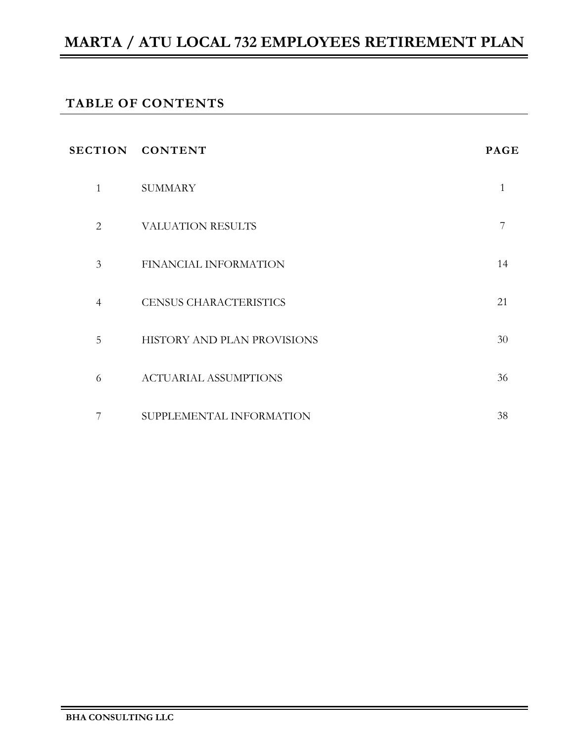## **TABLE OF CONTENTS**

|                | SECTION CONTENT               | <b>PAGE</b> |
|----------------|-------------------------------|-------------|
| 1              | <b>SUMMARY</b>                | 1           |
| $\overline{2}$ | <b>VALUATION RESULTS</b>      | 7           |
| 3              | FINANCIAL INFORMATION         | 14          |
| $\overline{4}$ | <b>CENSUS CHARACTERISTICS</b> | 21          |
| 5              | HISTORY AND PLAN PROVISIONS   | 30          |
| 6              | <b>ACTUARIAL ASSUMPTIONS</b>  | 36          |
| 7              | SUPPLEMENTAL INFORMATION      | 38          |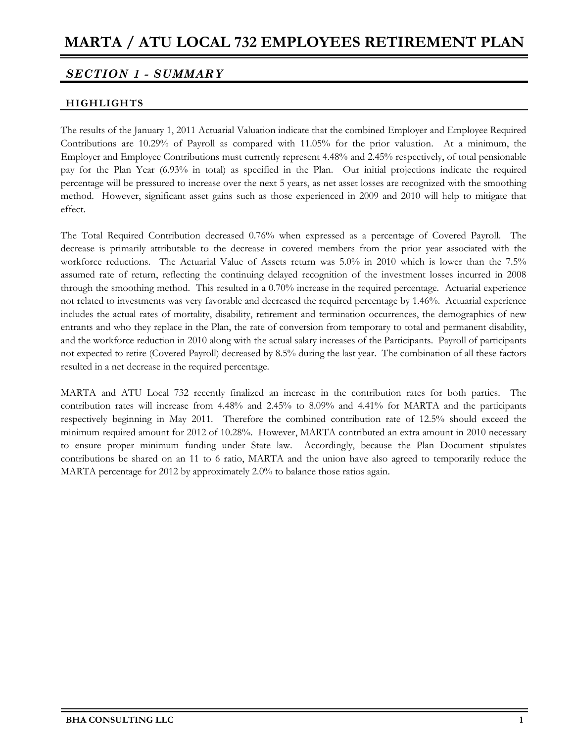### *SECTION 1 - SUMMARY*

#### **HIGHLIGHTS**

The results of the January 1, 2011 Actuarial Valuation indicate that the combined Employer and Employee Required Contributions are 10.29% of Payroll as compared with 11.05% for the prior valuation. At a minimum, the Employer and Employee Contributions must currently represent 4.48% and 2.45% respectively, of total pensionable pay for the Plan Year (6.93% in total) as specified in the Plan. Our initial projections indicate the required percentage will be pressured to increase over the next 5 years, as net asset losses are recognized with the smoothing method. However, significant asset gains such as those experienced in 2009 and 2010 will help to mitigate that effect.

The Total Required Contribution decreased 0.76% when expressed as a percentage of Covered Payroll. The decrease is primarily attributable to the decrease in covered members from the prior year associated with the workforce reductions. The Actuarial Value of Assets return was 5.0% in 2010 which is lower than the 7.5% assumed rate of return, reflecting the continuing delayed recognition of the investment losses incurred in 2008 through the smoothing method. This resulted in a 0.70% increase in the required percentage. Actuarial experience not related to investments was very favorable and decreased the required percentage by 1.46%. Actuarial experience includes the actual rates of mortality, disability, retirement and termination occurrences, the demographics of new entrants and who they replace in the Plan, the rate of conversion from temporary to total and permanent disability, and the workforce reduction in 2010 along with the actual salary increases of the Participants. Payroll of participants not expected to retire (Covered Payroll) decreased by 8.5% during the last year. The combination of all these factors resulted in a net decrease in the required percentage.

MARTA and ATU Local 732 recently finalized an increase in the contribution rates for both parties. The contribution rates will increase from 4.48% and 2.45% to 8.09% and 4.41% for MARTA and the participants respectively beginning in May 2011. Therefore the combined contribution rate of 12.5% should exceed the minimum required amount for 2012 of 10.28%. However, MARTA contributed an extra amount in 2010 necessary to ensure proper minimum funding under State law. Accordingly, because the Plan Document stipulates contributions be shared on an 11 to 6 ratio, MARTA and the union have also agreed to temporarily reduce the MARTA percentage for 2012 by approximately 2.0% to balance those ratios again.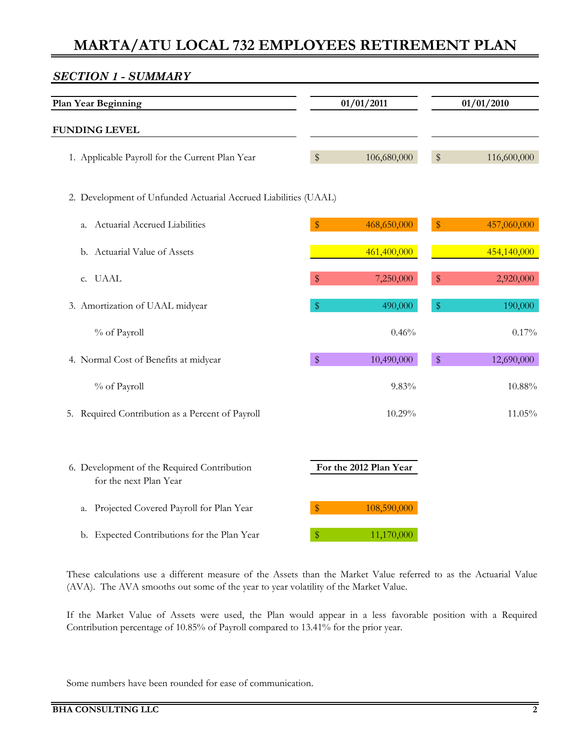# *SECTION 1 - SUMMARY* **Plan Year Beginning 01/01/2011 01/01/2010 FUNDING LEVEL** 1. Applicable Payroll for the Current Plan Year \$ 106,680,000 \$ 116,600,000 2. Development of Unfunded Actuarial Accrued Liabilities (UAAL) a. Actuarial Accrued Liabilities **8** 468,650,000 \$ 457,060,000 b. Actuarial Value of Assets 461,400,000 454,140,000 c. UAAL  $\frac{1}{2}$   $\frac{1}{2}$   $\frac{1}{2}$   $\frac{1}{2}$   $\frac{1}{2}$   $\frac{1}{2}$   $\frac{1}{2}$   $\frac{1}{2}$   $\frac{1}{2}$   $\frac{1}{2}$   $\frac{1}{2}$   $\frac{1}{2}$   $\frac{1}{2}$   $\frac{1}{2}$   $\frac{1}{2}$   $\frac{1}{2}$   $\frac{1}{2}$   $\frac{1}{2}$   $\frac{1}{2}$   $\frac{1}{2}$   $\frac{1}{2}$   $\frac$ 3. Amortization of UAAL midyear  $\frac{1}{2}$   $\frac{1}{2}$   $\frac{490,000}{12}$   $\frac{1}{2}$  190,000 % of Payroll  $0.46\%$  0.46% 0.17% 4. Normal Cost of Benefits at midyear <br>
<sup>\$</sup> 10,490,000 \$ 12,690,000 % of Payroll  $9.83\%$   $10.88\%$ 5. Required Contribution as a Percent of Payroll 10.29% 11.05% 11.05% 6. Development of the Required Contribution **For the 2012 Plan Year** for the next Plan Year a. Projected Covered Payroll for Plan Year **\$** 108,590,000 b. Expected Contributions for the Plan Year  $\frac{\$}{}$  11,170,000

These calculations use a different measure of the Assets than the Market Value referred to as the Actuarial Value (AVA). The AVA smooths out some of the year to year volatility of the Market Value.

If the Market Value of Assets were used, the Plan would appear in a less favorable position with a Required Contribution percentage of 10.85% of Payroll compared to 13.41% for the prior year.

Some numbers have been rounded for ease of communication.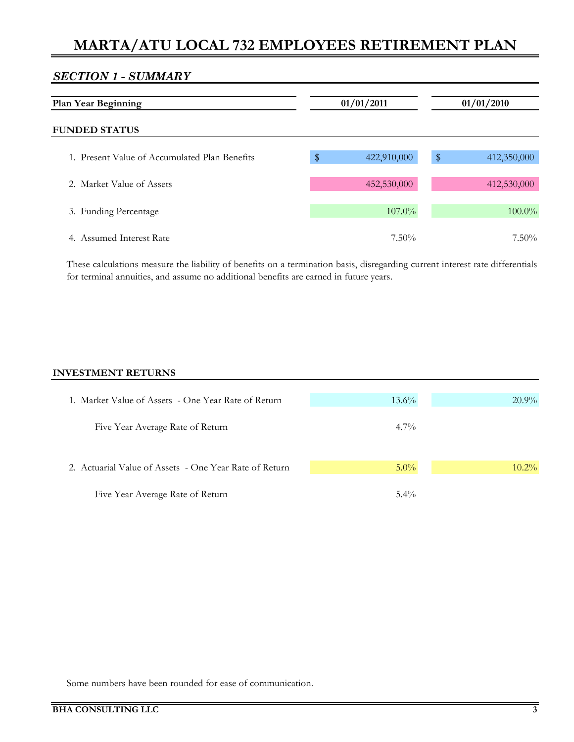#### *SECTION 1 - SUMMARY*

| <b>Plan Year Beginning</b>                    |        | 01/01/2011  |               | 01/01/2010  |  |
|-----------------------------------------------|--------|-------------|---------------|-------------|--|
| <b>FUNDED STATUS</b>                          |        |             |               |             |  |
| 1. Present Value of Accumulated Plan Benefits | $\$\,$ | 422,910,000 | $\frac{4}{3}$ | 412,350,000 |  |
| 2. Market Value of Assets                     |        | 452,530,000 |               | 412,530,000 |  |
| 3. Funding Percentage                         |        | 107.0%      |               | 100.0%      |  |
| 4. Assumed Interest Rate                      |        | $7.50\%$    |               | $7.50\%$    |  |

These calculations measure the liability of benefits on a termination basis, disregarding current interest rate differentials for terminal annuities, and assume no additional benefits are earned in future years.

#### **INVESTMENT RETURNS**

| 1. Market Value of Assets - One Year Rate of Return    | $13.6\%$ | $20.9\%$ |
|--------------------------------------------------------|----------|----------|
|                                                        |          |          |
| Five Year Average Rate of Return                       | $4.7\%$  |          |
|                                                        |          |          |
| 2. Actuarial Value of Assets - One Year Rate of Return | $5.0\%$  | $10.2\%$ |
| Five Year Average Rate of Return                       | $5.4\%$  |          |

Some numbers have been rounded for ease of communication.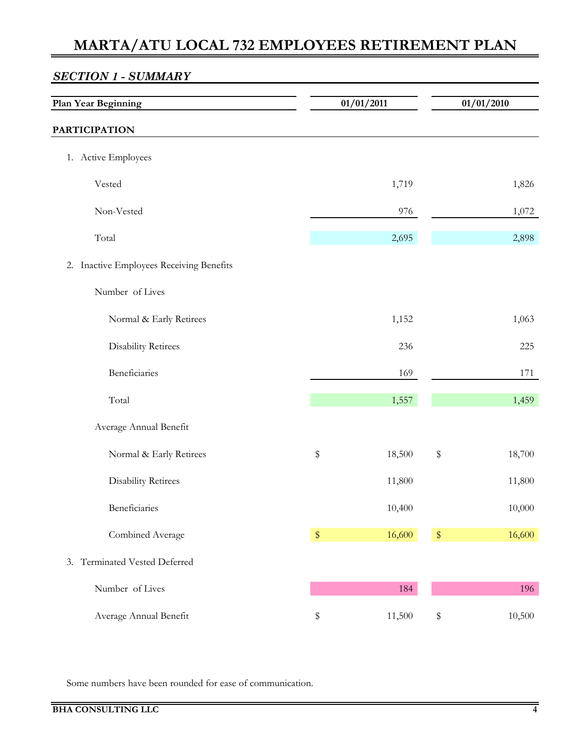| <b>Plan Year Beginning</b>                  |            | 01/01/2011 | 01/01/2010     |
|---------------------------------------------|------------|------------|----------------|
| <b>PARTICIPATION</b>                        |            |            |                |
| 1. Active Employees                         |            |            |                |
| Vested                                      |            | 1,719      | 1,826          |
| Non-Vested                                  |            | 976        | 1,072          |
| Total                                       |            | 2,695      | 2,898          |
| Inactive Employees Receiving Benefits<br>2. |            |            |                |
| Number of Lives                             |            |            |                |
| Normal & Early Retirees                     |            | 1,152      | 1,063          |
| <b>Disability Retirees</b>                  |            | 236        | 225            |
| Beneficiaries                               |            | 169        | 171            |
| Total                                       |            | 1,557      | 1,459          |
| Average Annual Benefit                      |            |            |                |
| Normal & Early Retirees                     | \$         | 18,500     | $\,$<br>18,700 |
| Disability Retirees                         |            | 11,800     | $11,\!800$     |
| Beneficiaries                               |            | 10,400     | 10,000         |
| Combined Average                            | $\pmb{\$}$ | 16,600     | 16,600<br>$\,$ |
| 3. Terminated Vested Deferred               |            |            |                |
| Number of Lives                             |            | 184        | 196            |
| Average Annual Benefit                      | \$         | 11,500     | 10,500<br>$\,$ |

Some numbers have been rounded for ease of communication.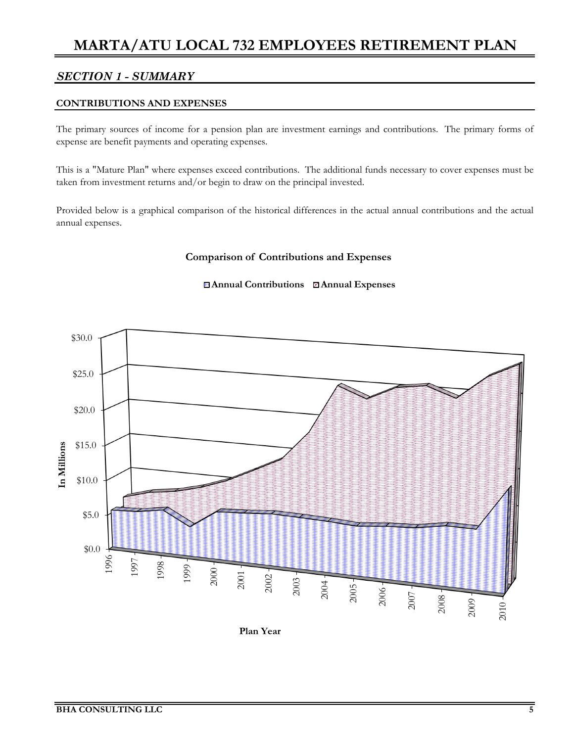### *SECTION 1 - SUMMARY*

#### **CONTRIBUTIONS AND EXPENSES**

The primary sources of income for a pension plan are investment earnings and contributions. The primary forms of expense are benefit payments and operating expenses.

This is a "Mature Plan" where expenses exceed contributions. The additional funds necessary to cover expenses must be taken from investment returns and/or begin to draw on the principal invested.

Provided below is a graphical comparison of the historical differences in the actual annual contributions and the actual annual expenses.

#### **Comparison of Contributions and Expenses**

#### **Annual Contributions Annual Expenses**



**Plan Year**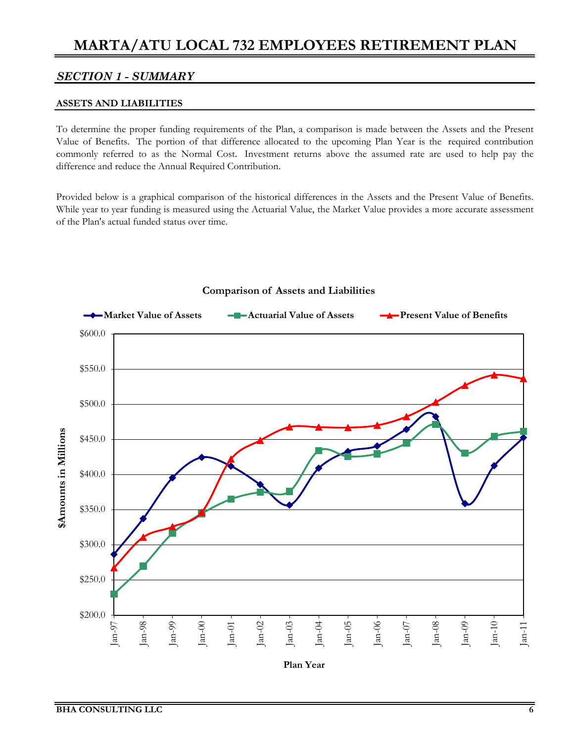#### *SECTION 1 - SUMMARY*

#### **ASSETS AND LIABILITIES**

To determine the proper funding requirements of the Plan, a comparison is made between the Assets and the Present Value of Benefits. The portion of that difference allocated to the upcoming Plan Year is the required contribution commonly referred to as the Normal Cost. Investment returns above the assumed rate are used to help pay the difference and reduce the Annual Required Contribution.

Provided below is a graphical comparison of the historical differences in the Assets and the Present Value of Benefits. While year to year funding is measured using the Actuarial Value, the Market Value provides a more accurate assessment of the Plan's actual funded status over time.



#### **Comparison of Assets and Liabilities**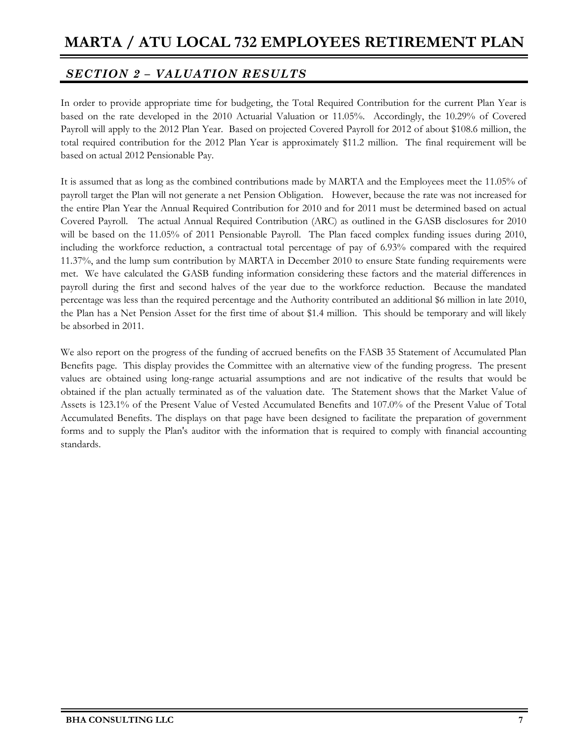## *SECTION 2 – VALUATION RESULTS*

In order to provide appropriate time for budgeting, the Total Required Contribution for the current Plan Year is based on the rate developed in the 2010 Actuarial Valuation or 11.05%. Accordingly, the 10.29% of Covered Payroll will apply to the 2012 Plan Year. Based on projected Covered Payroll for 2012 of about \$108.6 million, the total required contribution for the 2012 Plan Year is approximately \$11.2 million. The final requirement will be based on actual 2012 Pensionable Pay.

It is assumed that as long as the combined contributions made by MARTA and the Employees meet the 11.05% of payroll target the Plan will not generate a net Pension Obligation. However, because the rate was not increased for the entire Plan Year the Annual Required Contribution for 2010 and for 2011 must be determined based on actual Covered Payroll. The actual Annual Required Contribution (ARC) as outlined in the GASB disclosures for 2010 will be based on the 11.05% of 2011 Pensionable Payroll. The Plan faced complex funding issues during 2010, including the workforce reduction, a contractual total percentage of pay of 6.93% compared with the required 11.37%, and the lump sum contribution by MARTA in December 2010 to ensure State funding requirements were met. We have calculated the GASB funding information considering these factors and the material differences in payroll during the first and second halves of the year due to the workforce reduction. Because the mandated percentage was less than the required percentage and the Authority contributed an additional \$6 million in late 2010, the Plan has a Net Pension Asset for the first time of about \$1.4 million. This should be temporary and will likely be absorbed in 2011.

We also report on the progress of the funding of accrued benefits on the FASB 35 Statement of Accumulated Plan Benefits page. This display provides the Committee with an alternative view of the funding progress. The present values are obtained using long-range actuarial assumptions and are not indicative of the results that would be obtained if the plan actually terminated as of the valuation date. The Statement shows that the Market Value of Assets is 123.1% of the Present Value of Vested Accumulated Benefits and 107.0% of the Present Value of Total Accumulated Benefits. The displays on that page have been designed to facilitate the preparation of government forms and to supply the Plan's auditor with the information that is required to comply with financial accounting standards.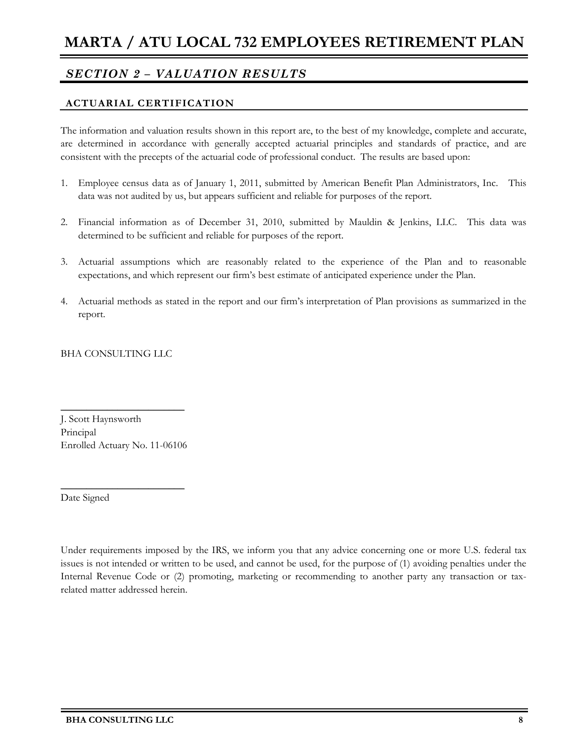## *SECTION 2 – VALUATION RESULTS*

### **ACTUARIAL CERTIFICATION**

The information and valuation results shown in this report are, to the best of my knowledge, complete and accurate, are determined in accordance with generally accepted actuarial principles and standards of practice, and are consistent with the precepts of the actuarial code of professional conduct. The results are based upon:

- 1. Employee census data as of January 1, 2011, submitted by American Benefit Plan Administrators, Inc. This data was not audited by us, but appears sufficient and reliable for purposes of the report.
- 2. Financial information as of December 31, 2010, submitted by Mauldin & Jenkins, LLC. This data was determined to be sufficient and reliable for purposes of the report.
- 3. Actuarial assumptions which are reasonably related to the experience of the Plan and to reasonable expectations, and which represent our firm's best estimate of anticipated experience under the Plan.
- 4. Actuarial methods as stated in the report and our firm's interpretation of Plan provisions as summarized in the report.

BHA CONSULTING LLC

J. Scott Haynsworth Principal Enrolled Actuary No. 11-06106

 $\overline{\phantom{a}}$  , where  $\overline{\phantom{a}}$  , where  $\overline{\phantom{a}}$  , where  $\overline{\phantom{a}}$ 

 $\overline{\phantom{a}}$  , where  $\overline{\phantom{a}}$  , where  $\overline{\phantom{a}}$  , where  $\overline{\phantom{a}}$ 

Date Signed

Under requirements imposed by the IRS, we inform you that any advice concerning one or more U.S. federal tax issues is not intended or written to be used, and cannot be used, for the purpose of (1) avoiding penalties under the Internal Revenue Code or (2) promoting, marketing or recommending to another party any transaction or taxrelated matter addressed herein.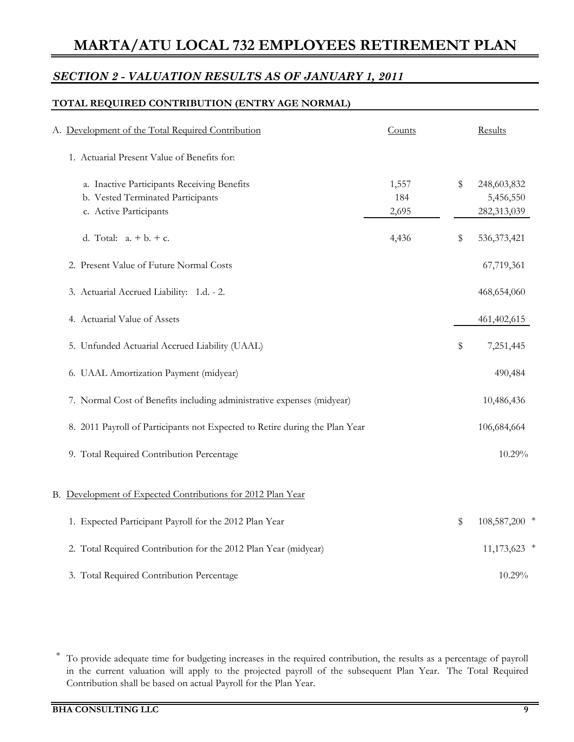## *SECTION 2 - VALUATION RESULTS AS OF JANUARY 1, 2011*

### **TOTAL REQUIRED CONTRIBUTION (ENTRY AGE NORMAL)**

| A. Development of the Total Required Contribution                           | Counts       | Results                  |
|-----------------------------------------------------------------------------|--------------|--------------------------|
| 1. Actuarial Present Value of Benefits for:                                 |              |                          |
| a. Inactive Participants Receiving Benefits                                 | 1,557        | \$<br>248,603,832        |
| b. Vested Terminated Participants<br>c. Active Participants                 | 184<br>2,695 | 5,456,550<br>282,313,039 |
|                                                                             |              |                          |
| d. Total: $a. + b. + c.$                                                    | 4,436        | \$<br>536, 373, 421      |
| 2. Present Value of Future Normal Costs                                     |              | 67,719,361               |
| 3. Actuarial Accrued Liability: 1.d. - 2.                                   |              | 468,654,060              |
| 4. Actuarial Value of Assets                                                |              | 461,402,615              |
| 5. Unfunded Actuarial Accrued Liability (UAAL)                              |              | \$<br>7,251,445          |
| 6. UAAL Amortization Payment (midyear)                                      |              | 490,484                  |
| 7. Normal Cost of Benefits including administrative expenses (midyear)      |              | 10,486,436               |
| 8. 2011 Payroll of Participants not Expected to Retire during the Plan Year |              | 106,684,664              |
| 9. Total Required Contribution Percentage                                   |              | 10.29%                   |
|                                                                             |              |                          |
| B. Development of Expected Contributions for 2012 Plan Year                 |              |                          |
| 1. Expected Participant Payroll for the 2012 Plan Year                      |              | \$<br>108,587,200 *      |
| 2. Total Required Contribution for the 2012 Plan Year (midyear)             |              | $11,173,623$ *           |
| 3. Total Required Contribution Percentage                                   |              | 10.29%                   |

\* To provide adequate time for budgeting increases in the required contribution, the results as a percentage of payroll in the current valuation will apply to the projected payroll of the subsequent Plan Year. The Total Required Contribution shall be based on actual Payroll for the Plan Year.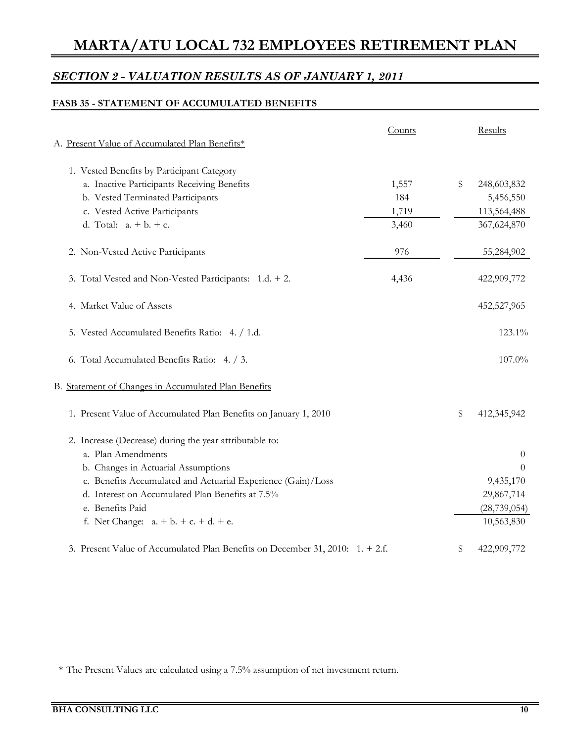## *SECTION 2 - VALUATION RESULTS AS OF JANUARY 1, 2011*

### **FASB 35 - STATEMENT OF ACCUMULATED BENEFITS**

| A. Present Value of Accumulated Plan Benefits*                                | Counts | Results           |
|-------------------------------------------------------------------------------|--------|-------------------|
| 1. Vested Benefits by Participant Category                                    |        |                   |
| a. Inactive Participants Receiving Benefits                                   | 1,557  | \$<br>248,603,832 |
| b. Vested Terminated Participants                                             | 184    | 5,456,550         |
| c. Vested Active Participants                                                 | 1,719  | 113,564,488       |
| d. Total: $a + b + c$ .                                                       | 3,460  | 367,624,870       |
| 2. Non-Vested Active Participants                                             | 976    | 55,284,902        |
| 3. Total Vested and Non-Vested Participants: 1.d. + 2.                        | 4,436  | 422,909,772       |
| 4. Market Value of Assets                                                     |        | 452,527,965       |
| 5. Vested Accumulated Benefits Ratio: 4. / 1.d.                               |        | 123.1%            |
| 6. Total Accumulated Benefits Ratio: 4. / 3.                                  |        | 107.0%            |
| B. Statement of Changes in Accumulated Plan Benefits                          |        |                   |
| 1. Present Value of Accumulated Plan Benefits on January 1, 2010              |        | \$<br>412,345,942 |
| 2. Increase (Decrease) during the year attributable to:                       |        |                   |
| a. Plan Amendments                                                            |        | $\theta$          |
| b. Changes in Actuarial Assumptions                                           |        | $\Omega$          |
| c. Benefits Accumulated and Actuarial Experience (Gain)/Loss                  |        | 9,435,170         |
| d. Interest on Accumulated Plan Benefits at 7.5%                              |        | 29,867,714        |
| e. Benefits Paid                                                              |        | (28, 739, 054)    |
| f. Net Change: $a + b + c + d + e$ .                                          |        | 10,563,830        |
| 3. Present Value of Accumulated Plan Benefits on December 31, 2010: 1. + 2.f. |        | \$<br>422,909,772 |

\* The Present Values are calculated using a 7.5% assumption of net investment return.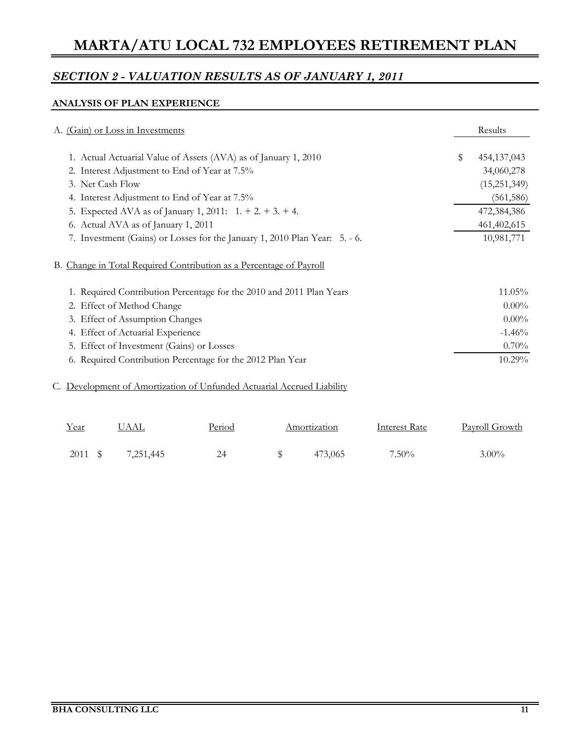## *SECTION 2 - VALUATION RESULTS AS OF JANUARY 1, 2011*

### **ANALYSIS OF PLAN EXPERIENCE**

| A. (Gain) or Loss in Investments                                           | Results           |
|----------------------------------------------------------------------------|-------------------|
| 1. Actual Actuarial Value of Assets (AVA) as of January 1, 2010            | \$<br>454,137,043 |
| 2. Interest Adjustment to End of Year at 7.5%                              | 34,060,278        |
| 3. Net Cash Flow                                                           | (15,251,349)      |
| 4. Interest Adjustment to End of Year at 7.5%                              | (561, 586)        |
| 5. Expected AVA as of January 1, 2011: $1. + 2. + 3. + 4.$                 | 472,384,386       |
| 6. Actual AVA as of January 1, 2011                                        | 461,402,615       |
| 7. Investment (Gains) or Losses for the January 1, 2010 Plan Year: 5. - 6. | 10,981,771        |
| B. Change in Total Required Contribution as a Percentage of Payroll        |                   |
| 1. Required Contribution Percentage for the 2010 and 2011 Plan Years       | 11.05%            |
| 2. Effect of Method Change                                                 | $0.00\%$          |
| 3. Effect of Assumption Changes                                            | $0.00\%$          |
| 4. Effect of Actuarial Experience                                          | $-1.46%$          |
| 5. Effect of Investment (Gains) or Losses                                  | 0.70%             |
| 6. Required Contribution Percentage for the 2012 Plan Year                 | 10.29%            |
| C. Development of Amortization of Unfunded Actuarial Accrued Liability     |                   |

| Year    | UAAL      | Period | Amortization | Interest Rate | <b>Payroll Growth</b> |
|---------|-----------|--------|--------------|---------------|-----------------------|
| 2011 \$ | 7,251,445 | 24     | 473,065      | $7.50\%$      | $3.00\%$              |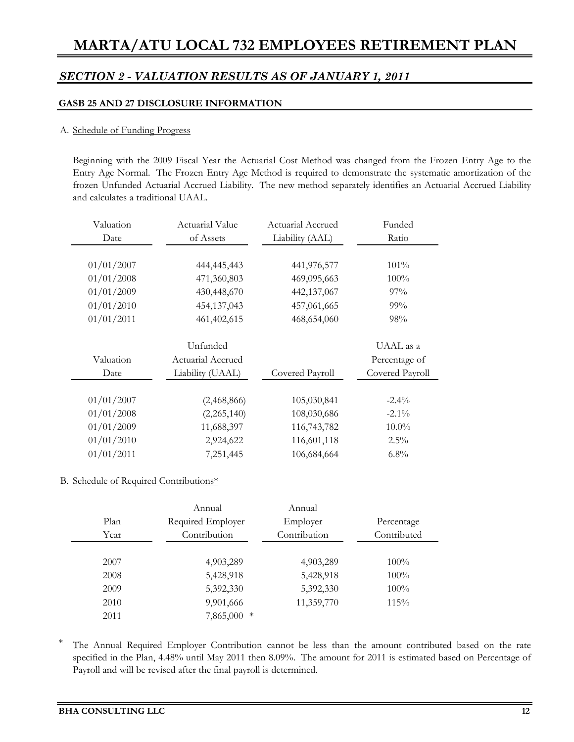### *SECTION 2 - VALUATION RESULTS AS OF JANUARY 1, 2011*

#### **GASB 25 AND 27 DISCLOSURE INFORMATION**

#### A. Schedule of Funding Progress

Beginning with the 2009 Fiscal Year the Actuarial Cost Method was changed from the Frozen Entry Age to the Entry Age Normal. The Frozen Entry Age Method is required to demonstrate the systematic amortization of the frozen Unfunded Actuarial Accrued Liability. The new method separately identifies an Actuarial Accrued Liability and calculates a traditional UAAL.

| Valuation  | Actuarial Value   | Actuarial Accrued | Funded          |
|------------|-------------------|-------------------|-----------------|
| Date       | of Assets         | Liability (AAL)   | Ratio           |
|            |                   |                   |                 |
| 01/01/2007 | 444,445,443       | 441,976,577       | $101\%$         |
| 01/01/2008 | 471,360,803       | 469,095,663       | 100%            |
| 01/01/2009 | 430,448,670       | 442,137,067       | 97%             |
| 01/01/2010 | 454,137,043       | 457,061,665       | 99%             |
| 01/01/2011 | 461,402,615       | 468,654,060       | 98%             |
|            |                   |                   |                 |
|            | Unfunded          |                   | UAAL as a       |
| Valuation  | Actuarial Accrued |                   | Percentage of   |
| Date       | Liability (UAAL)  | Covered Payroll   | Covered Payroll |
|            |                   |                   |                 |
| 01/01/2007 | (2,468,866)       | 105,030,841       | $-2.4\%$        |
| 01/01/2008 | (2,265,140)       | 108,030,686       | $-2.1\%$        |
| 01/01/2009 | 11,688,397        | 116,743,782       | $10.0\%$        |
| 01/01/2010 | 2,924,622         | 116,601,118       | $2.5\%$         |
| 01/01/2011 | 7,251,445         | 106,684,664       | $6.8\%$         |

#### B. Schedule of Required Contributions\*

|      | Annual            | Annual       |             |
|------|-------------------|--------------|-------------|
| Plan | Required Employer | Employer     | Percentage  |
| Year | Contribution      | Contribution | Contributed |
|      |                   |              |             |
| 2007 | 4,903,289         | 4,903,289    | $100\%$     |
| 2008 | 5,428,918         | 5,428,918    | $100\%$     |
| 2009 | 5,392,330         | 5,392,330    | $100\%$     |
| 2010 | 9,901,666         | 11,359,770   | 115%        |
| 2011 | 7,865,000 *       |              |             |

\* The Annual Required Employer Contribution cannot be less than the amount contributed based on the rate specified in the Plan, 4.48% until May 2011 then 8.09%. The amount for 2011 is estimated based on Percentage of Payroll and will be revised after the final payroll is determined.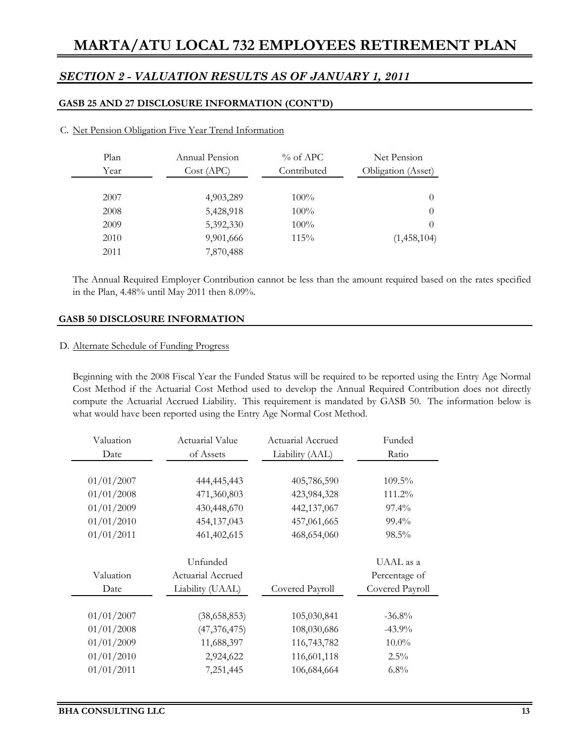### *SECTION 2 - VALUATION RESULTS AS OF JANUARY 1, 2011*

#### **GASB 25 AND 27 DISCLOSURE INFORMATION (CONT'D)**

| Plan<br>Year | Annual Pension<br>Cost (APC) | $\%$ of APC<br>Contributed | Net Pension<br>Obligation (Asset) |
|--------------|------------------------------|----------------------------|-----------------------------------|
|              |                              |                            |                                   |
| 2007         | 4,903,289                    | $100\%$                    | $\theta$                          |
| 2008         | 5,428,918                    | 100%                       | $\theta$                          |
| 2009         | 5,392,330                    | 100%                       | $\Omega$                          |
| 2010         | 9,901,666                    | 115%                       | (1,458,104)                       |
| 2011         | 7,870,488                    |                            |                                   |

#### C. Net Pension Obligation Five Year Trend Information

The Annual Required Employer Contribution cannot be less than the amount required based on the rates specified in the Plan, 4.48% until May 2011 then 8.09%.

#### **GASB 50 DISCLOSURE INFORMATION**

#### D. Alternate Schedule of Funding Progress

Beginning with the 2008 Fiscal Year the Funded Status will be required to be reported using the Entry Age Normal Cost Method if the Actuarial Cost Method used to develop the Annual Required Contribution does not directly compute the Actuarial Accrued Liability. This requirement is mandated by GASB 50. The information below is what would have been reported using the Entry Age Normal Cost Method.

| Valuation  | Actuarial Value   |                 | Funded          |  |
|------------|-------------------|-----------------|-----------------|--|
| Date       | of Assets         | Liability (AAL) | Ratio           |  |
|            |                   |                 |                 |  |
| 01/01/2007 | 444,445,443       | 405,786,590     | 109.5%          |  |
| 01/01/2008 | 471,360,803       | 423,984,328     | 111.2%          |  |
| 01/01/2009 | 430,448,670       | 442,137,067     | $97.4\%$        |  |
| 01/01/2010 | 454,137,043       | 457,061,665     | 99.4%           |  |
| 01/01/2011 | 461,402,615       | 468,654,060     | 98.5%           |  |
|            | Unfunded          |                 | UAAL as a       |  |
| Valuation  | Actuarial Accrued |                 | Percentage of   |  |
| Date       | Liability (UAAL)  | Covered Payroll | Covered Payroll |  |
|            |                   |                 |                 |  |
| 01/01/2007 | (38,658,853)      | 105,030,841     | $-36.8\%$       |  |
| 01/01/2008 | (47, 376, 475)    | 108,030,686     | $-43.9\%$       |  |
| 01/01/2009 | 11,688,397        | 116,743,782     | $10.0\%$        |  |
| 01/01/2010 | 2,924,622         | 116,601,118     | $2.5\%$         |  |
| 01/01/2011 | 7,251,445         | 106,684,664     | 6.8%            |  |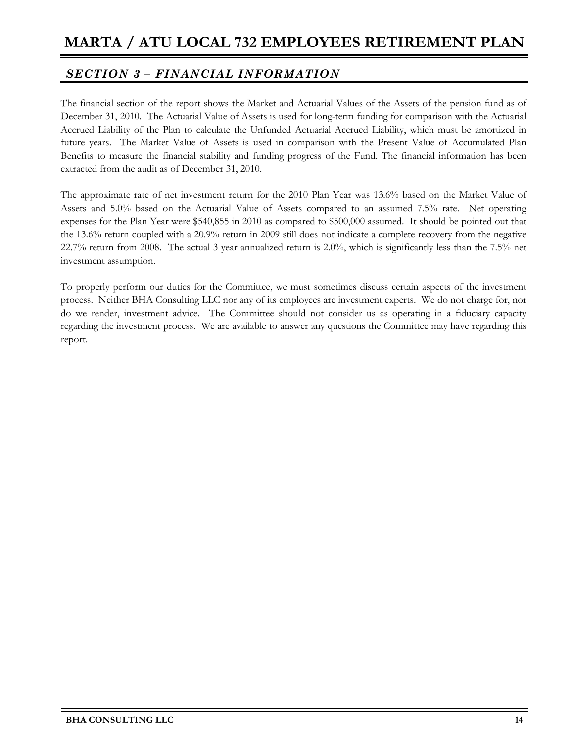## *SECTION 3 – FINANCIAL INFORMATION*

The financial section of the report shows the Market and Actuarial Values of the Assets of the pension fund as of December 31, 2010. The Actuarial Value of Assets is used for long-term funding for comparison with the Actuarial Accrued Liability of the Plan to calculate the Unfunded Actuarial Accrued Liability, which must be amortized in future years. The Market Value of Assets is used in comparison with the Present Value of Accumulated Plan Benefits to measure the financial stability and funding progress of the Fund. The financial information has been extracted from the audit as of December 31, 2010.

The approximate rate of net investment return for the 2010 Plan Year was 13.6% based on the Market Value of Assets and 5.0% based on the Actuarial Value of Assets compared to an assumed 7.5% rate. Net operating expenses for the Plan Year were \$540,855 in 2010 as compared to \$500,000 assumed. It should be pointed out that the 13.6% return coupled with a 20.9% return in 2009 still does not indicate a complete recovery from the negative 22.7% return from 2008. The actual 3 year annualized return is 2.0%, which is significantly less than the 7.5% net investment assumption.

To properly perform our duties for the Committee, we must sometimes discuss certain aspects of the investment process. Neither BHA Consulting LLC nor any of its employees are investment experts. We do not charge for, nor do we render, investment advice. The Committee should not consider us as operating in a fiduciary capacity regarding the investment process. We are available to answer any questions the Committee may have regarding this report.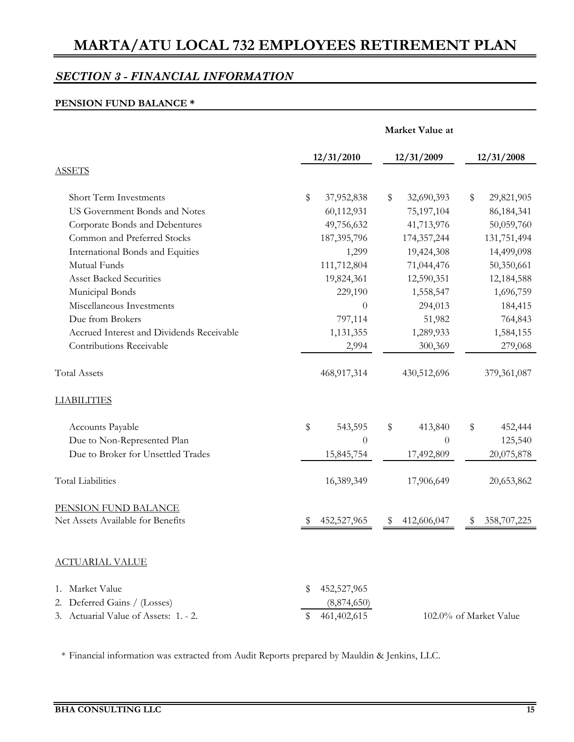## *SECTION 3 - FINANCIAL INFORMATION*

#### **PENSION FUND BALANCE \***

|                                           | Market Value at   |                  |                        |  |  |  |  |
|-------------------------------------------|-------------------|------------------|------------------------|--|--|--|--|
|                                           | 12/31/2010        | 12/31/2009       | 12/31/2008             |  |  |  |  |
| <b>ASSETS</b>                             |                   |                  |                        |  |  |  |  |
| <b>Short Term Investments</b>             | \$<br>37,952,838  | \$<br>32,690,393 | 29,821,905<br>\$       |  |  |  |  |
| US Government Bonds and Notes             | 60,112,931        | 75,197,104       | 86, 184, 341           |  |  |  |  |
| Corporate Bonds and Debentures            | 49,756,632        | 41,713,976       | 50,059,760             |  |  |  |  |
| Common and Preferred Stocks               | 187, 395, 796     | 174,357,244      | 131,751,494            |  |  |  |  |
| International Bonds and Equities          | 1,299             | 19,424,308       | 14,499,098             |  |  |  |  |
| Mutual Funds                              | 111,712,804       | 71,044,476       | 50,350,661             |  |  |  |  |
| <b>Asset Backed Securities</b>            | 19,824,361        | 12,590,351       | 12,184,588             |  |  |  |  |
| Municipal Bonds                           | 229,190           | 1,558,547        | 1,696,759              |  |  |  |  |
| Miscellaneous Investments                 | 0                 | 294,013          | 184,415                |  |  |  |  |
| Due from Brokers                          | 797,114           | 51,982           | 764,843                |  |  |  |  |
| Accrued Interest and Dividends Receivable | 1,131,355         | 1,289,933        | 1,584,155              |  |  |  |  |
| Contributions Receivable                  | 2,994             | 300,369          | 279,068                |  |  |  |  |
| <b>Total Assets</b>                       | 468,917,314       | 430,512,696      | 379,361,087            |  |  |  |  |
| <b>LIABILITIES</b>                        |                   |                  |                        |  |  |  |  |
| Accounts Payable                          | \$<br>543,595     | \$<br>413,840    | \$<br>452,444          |  |  |  |  |
| Due to Non-Represented Plan               | $\overline{0}$    | $\theta$         | 125,540                |  |  |  |  |
| Due to Broker for Unsettled Trades        | 15,845,754        | 17,492,809       | 20,075,878             |  |  |  |  |
| <b>Total Liabilities</b>                  | 16,389,349        | 17,906,649       | 20,653,862             |  |  |  |  |
| PENSION FUND BALANCE                      |                   |                  |                        |  |  |  |  |
| Net Assets Available for Benefits         | 452,527,965       | 412,606,047      | 358,707,225            |  |  |  |  |
| <u>ACTUARIAL VALUE</u>                    |                   |                  |                        |  |  |  |  |
| 1. Market Value                           | 452,527,965<br>S  |                  |                        |  |  |  |  |
| 2. Deferred Gains / (Losses)              | (8,874,650)       |                  |                        |  |  |  |  |
| 3. Actuarial Value of Assets: 1. - 2.     | 461,402,615<br>\$ |                  | 102.0% of Market Value |  |  |  |  |

\* Financial information was extracted from Audit Reports prepared by Mauldin & Jenkins, LLC.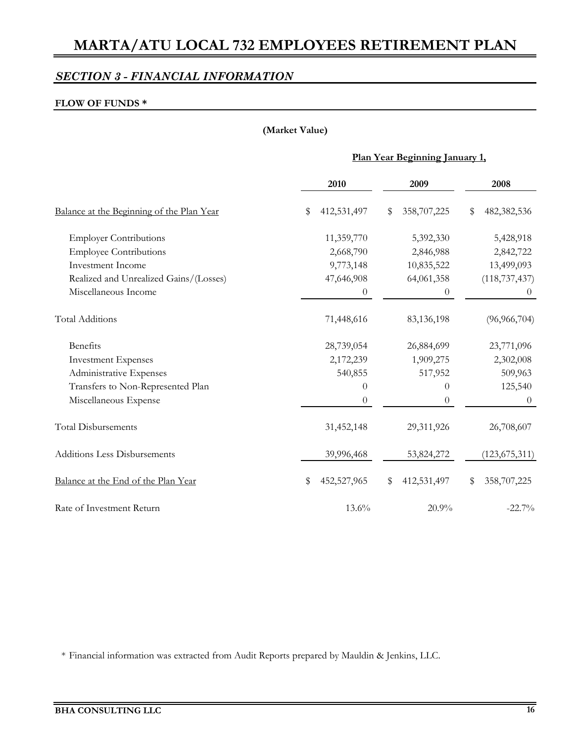## *SECTION 3 - FINANCIAL INFORMATION*

#### **FLOW OF FUNDS \***

#### **(Market Value)**

#### **Plan Year Beginning January 1,**

|                                           | 2010              | 2009              | 2008              |
|-------------------------------------------|-------------------|-------------------|-------------------|
| Balance at the Beginning of the Plan Year | 412,531,497<br>\$ | 358,707,225<br>\$ | 482,382,536<br>\$ |
| <b>Employer Contributions</b>             | 11,359,770        | 5,392,330         | 5,428,918         |
| <b>Employee Contributions</b>             | 2,668,790         | 2,846,988         | 2,842,722         |
| <b>Investment Income</b>                  | 9,773,148         | 10,835,522        | 13,499,093        |
| Realized and Unrealized Gains/(Losses)    | 47,646,908        | 64,061,358        | (118, 737, 437)   |
| Miscellaneous Income                      | $\overline{0}$    | 0                 | $\theta$          |
| <b>Total Additions</b>                    | 71,448,616        | 83,136,198        | (96, 966, 704)    |
| Benefits                                  | 28,739,054        | 26,884,699        | 23,771,096        |
| <b>Investment Expenses</b>                | 2,172,239         | 1,909,275         | 2,302,008         |
| Administrative Expenses                   | 540,855           | 517,952           | 509,963           |
| Transfers to Non-Represented Plan         | $\theta$          | $\overline{0}$    | 125,540           |
| Miscellaneous Expense                     | $\theta$          | $\theta$          | $\theta$          |
| <b>Total Disbursements</b>                | 31,452,148        | 29,311,926        | 26,708,607        |
| <b>Additions Less Disbursements</b>       | 39,996,468        | 53,824,272        | (123, 675, 311)   |
| Balance at the End of the Plan Year       | \$<br>452,527,965 | \$<br>412,531,497 | 358,707,225<br>S  |
| Rate of Investment Return                 | 13.6%             | 20.9%             | $-22.7%$          |

\* Financial information was extracted from Audit Reports prepared by Mauldin & Jenkins, LLC.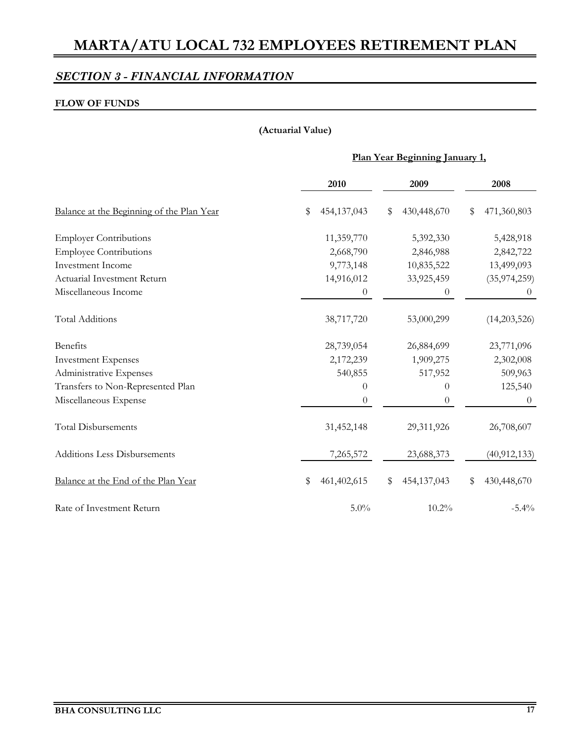## *SECTION 3 - FINANCIAL INFORMATION*

#### **FLOW OF FUNDS**

#### **(Actuarial Value)**

#### **Plan Year Beginning January 1,**

|                                           | 2010              | 2009              | 2008              |  |
|-------------------------------------------|-------------------|-------------------|-------------------|--|
| Balance at the Beginning of the Plan Year | 454,137,043<br>\$ | 430,448,670<br>\$ | 471,360,803<br>\$ |  |
| <b>Employer Contributions</b>             | 11,359,770        | 5,392,330         | 5,428,918         |  |
| <b>Employee Contributions</b>             | 2,668,790         | 2,846,988         | 2,842,722         |  |
| <b>Investment Income</b>                  | 9,773,148         | 10,835,522        | 13,499,093        |  |
| Actuarial Investment Return               | 14,916,012        | 33,925,459        | (35, 974, 259)    |  |
| Miscellaneous Income                      | $\boldsymbol{0}$  | $\overline{0}$    | $\theta$          |  |
| <b>Total Additions</b>                    | 38,717,720        | 53,000,299        | (14,203,526)      |  |
| Benefits                                  | 28,739,054        | 26,884,699        | 23,771,096        |  |
| <b>Investment Expenses</b>                | 2,172,239         | 1,909,275         | 2,302,008         |  |
| Administrative Expenses                   | 540,855           | 517,952           | 509,963           |  |
| Transfers to Non-Represented Plan         | $\overline{0}$    | $\theta$          | 125,540           |  |
| Miscellaneous Expense                     | $\boldsymbol{0}$  | $\theta$          | $\theta$          |  |
| <b>Total Disbursements</b>                | 31,452,148        | 29,311,926        | 26,708,607        |  |
| Additions Less Disbursements              | 7,265,572         | 23,688,373        | (40, 912, 133)    |  |
| Balance at the End of the Plan Year       | \$<br>461,402,615 | \$<br>454,137,043 | \$<br>430,448,670 |  |
| Rate of Investment Return                 | $5.0\%$           | $10.2\%$          | $-5.4\%$          |  |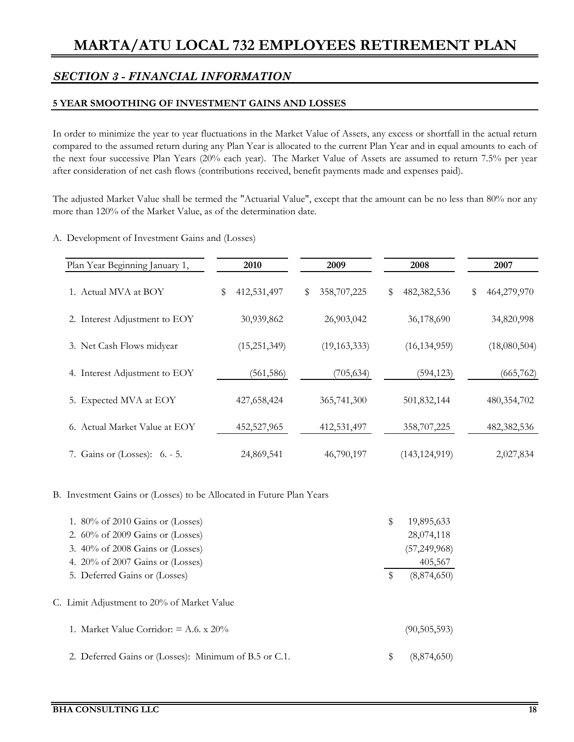## *SECTION 3 - FINANCIAL INFORMATION*

#### **5 YEAR SMOOTHING OF INVESTMENT GAINS AND LOSSES**

In order to minimize the year to year fluctuations in the Market Value of Assets, any excess or shortfall in the actual return compared to the assumed return during any Plan Year is allocated to the current Plan Year and in equal amounts to each of the next four successive Plan Years (20% each year). The Market Value of Assets are assumed to return 7.5% per year after consideration of net cash flows (contributions received, benefit payments made and expenses paid).

The adjusted Market Value shall be termed the "Actuarial Value", except that the amount can be no less than 80% nor any more than 120% of the Market Value, as of the determination date.

#### A. Development of Investment Gains and (Losses)

| Plan Year Beginning January 1, | 2010              | 2009              | 2008              | 2007              |
|--------------------------------|-------------------|-------------------|-------------------|-------------------|
| 1. Actual MVA at BOY           | 412,531,497<br>\$ | 358,707,225<br>\$ | \$<br>482,382,536 | 464,279,970<br>\$ |
| 2. Interest Adjustment to EOY  | 30,939,862        | 26,903,042        | 36,178,690        | 34,820,998        |
| 3. Net Cash Flows midyear      | (15, 251, 349)    | (19, 163, 333)    | (16, 134, 959)    | (18,080,504)      |
| 4. Interest Adjustment to EOY  | (561, 586)        | (705, 634)        | (594, 123)        | (665, 762)        |
| 5. Expected MVA at EOY         | 427,658,424       | 365,741,300       | 501,832,144       | 480,354,702       |
| 6. Actual Market Value at EOY  | 452,527,965       | 412,531,497       | 358,707,225       | 482,382,536       |
| 7. Gains or (Losses): 6. - 5.  | 24,869,541        | 46,790,197        | (143, 124, 919)   | 2,027,834         |

#### B. Investment Gains or (Losses) to be Allocated in Future Plan Years

| 1. $80\%$ of 2010 Gains or (Losses)                   | \$ | 19,895,633     |
|-------------------------------------------------------|----|----------------|
| 2. $60\%$ of 2009 Gains or (Losses)                   |    | 28,074,118     |
| 3. 40% of 2008 Gains or (Losses)                      |    | (57, 249, 968) |
| 4. $20\%$ of 2007 Gains or (Losses)                   |    | 405,567        |
| 5. Deferred Gains or (Losses)                         | S  | (8,874,650)    |
| C. Limit Adjustment to 20% of Market Value            |    |                |
| 1. Market Value Corridor: $= A.6$ , x 20%             |    | (90, 505, 593) |
| 2. Deferred Gains or (Losses): Minimum of B.5 or C.1. | \$ | (8,874,650)    |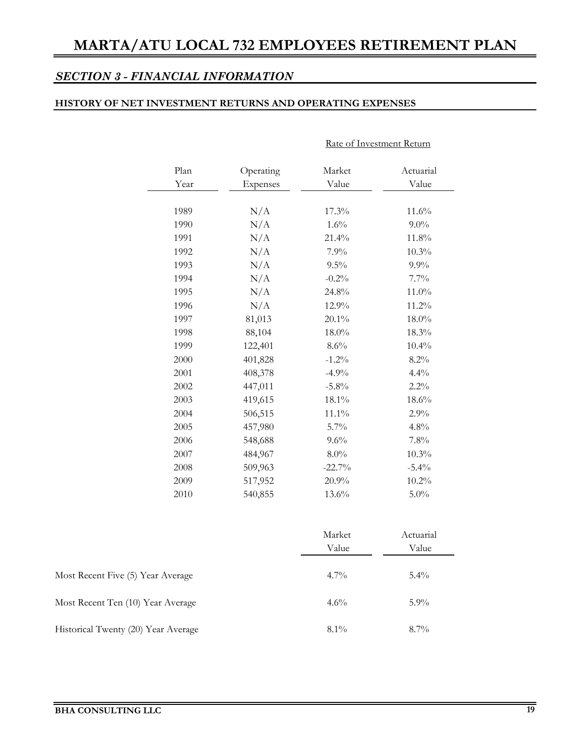Rate of Investment Return

## *SECTION 3 - FINANCIAL INFORMATION*

#### **HISTORY OF NET INVESTMENT RETURNS AND OPERATING EXPENSES**

| Plan<br>Year | Operating<br><b>Expenses</b> |          | Actuarial<br>Value |  |  |
|--------------|------------------------------|----------|--------------------|--|--|
| 1989         | N/A                          | 17.3%    | 11.6%              |  |  |
| 1990         | N/A                          | 1.6%     | $9.0\%$            |  |  |
| 1991         | N/A                          | 21.4%    | 11.8%              |  |  |
| 1992         | N/A                          | 7.9%     | 10.3%              |  |  |
| 1993         | N/A                          | $9.5\%$  | 9.9%               |  |  |
| 1994         | N/A                          | $-0.2%$  | 7.7%               |  |  |
| 1995         | N/A                          | 24.8%    | 11.0%              |  |  |
| 1996         | N/A                          | 12.9%    | 11.2%              |  |  |
| 1997         | 81,013                       | $20.1\%$ | 18.0%              |  |  |
| 1998         | 88,104                       | 18.0%    | 18.3%              |  |  |
| 1999         | 122,401                      | $8.6\%$  | 10.4%              |  |  |
| 2000         | 401,828                      | $-1.2%$  | 8.2%               |  |  |
| 2001         | 408,378                      | $-4.9%$  | 4.4%               |  |  |
| 2002         | 447,011                      | $-5.8\%$ | $2.2\%$            |  |  |
| 2003         | 419,615                      | 18.1%    | 18.6%              |  |  |
| 2004         | 506,515                      | $11.1\%$ | 2.9%               |  |  |
| 2005         | 457,980                      | 5.7%     | 4.8%               |  |  |
| 2006         | 548,688                      | 9.6%     | 7.8%               |  |  |
| 2007         | 484,967                      | 8.0%     | 10.3%              |  |  |
| 2008         | 509,963                      | $-22.7%$ | $-5.4%$            |  |  |
| 2009         | 517,952                      | 20.9%    | $10.2\%$           |  |  |
| 2010         | 540,855                      | 13.6%    | $5.0\%$            |  |  |

|                                     | Market<br>Value | Actuarial<br>Value |
|-------------------------------------|-----------------|--------------------|
| Most Recent Five (5) Year Average   | $4.7\%$         | $5.4\%$            |
| Most Recent Ten (10) Year Average   | $4.6\%$         | $5.9\%$            |
| Historical Twenty (20) Year Average | $8.1\%$         | $8.7\%$            |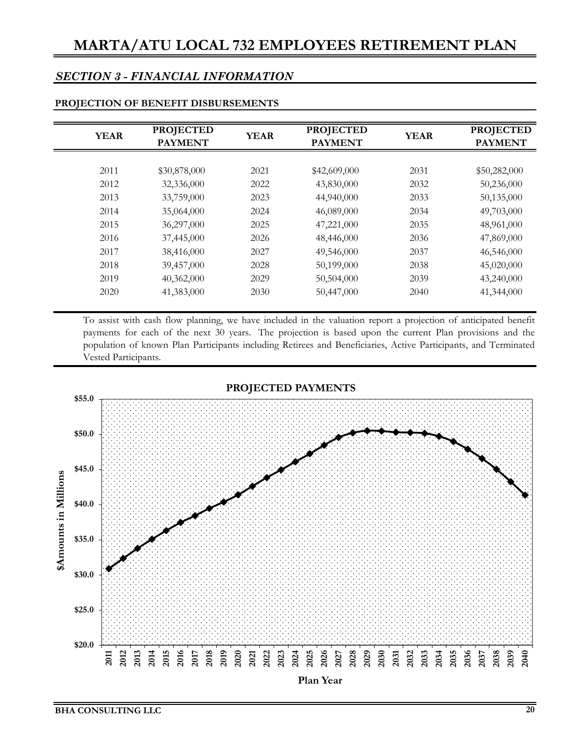### *SECTION 3 - FINANCIAL INFORMATION*

| <b>YEAR</b> | <b>PROJECTED</b><br><b>PAYMENT</b> |      | <b>PROJECTED</b><br><b>YEAR</b><br><b>PAYMENT</b> |      | <b>PROJECTED</b><br><b>PAYMENT</b> |
|-------------|------------------------------------|------|---------------------------------------------------|------|------------------------------------|
|             |                                    |      |                                                   |      |                                    |
| 2011        | \$30,878,000                       | 2021 | \$42,609,000                                      | 2031 | \$50,282,000                       |
| 2012        | 32,336,000                         | 2022 | 43,830,000                                        | 2032 | 50,236,000                         |
| 2013        | 33,759,000                         | 2023 | 44,940,000                                        | 2033 | 50,135,000                         |
| 2014        | 35,064,000                         | 2024 | 46,089,000                                        | 2034 | 49,703,000                         |
| 2015        | 36,297,000                         | 2025 | 47,221,000                                        | 2035 | 48,961,000                         |
| 2016        | 37,445,000                         | 2026 | 48,446,000                                        | 2036 | 47,869,000                         |
| 2017        | 38,416,000                         | 2027 | 49,546,000                                        | 2037 | 46,546,000                         |
| 2018        | 39,457,000                         | 2028 | 50,199,000                                        | 2038 | 45,020,000                         |
| 2019        | 40,362,000                         | 2029 | 50,504,000                                        | 2039 | 43,240,000                         |
| 2020        | 41,383,000                         | 2030 | 50,447,000                                        | 2040 | 41,344,000                         |

#### **PROJECTION OF BENEFIT DISBURSEMENTS**

To assist with cash flow planning, we have included in the valuation report a projection of anticipated benefit payments for each of the next 30 years. The projection is based upon the current Plan provisions and the population of known Plan Participants including Retirees and Beneficiaries, Active Participants, and Terminated Vested Participants.

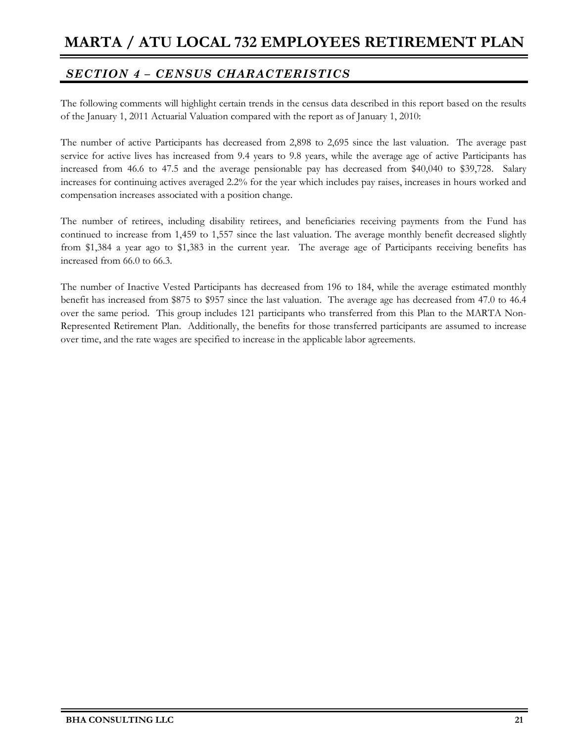## *SECTION 4 – CENSUS CHARACTERISTICS*

The following comments will highlight certain trends in the census data described in this report based on the results of the January 1, 2011 Actuarial Valuation compared with the report as of January 1, 2010:

The number of active Participants has decreased from 2,898 to 2,695 since the last valuation. The average past service for active lives has increased from 9.4 years to 9.8 years, while the average age of active Participants has increased from 46.6 to 47.5 and the average pensionable pay has decreased from \$40,040 to \$39,728. Salary increases for continuing actives averaged 2.2% for the year which includes pay raises, increases in hours worked and compensation increases associated with a position change.

The number of retirees, including disability retirees, and beneficiaries receiving payments from the Fund has continued to increase from 1,459 to 1,557 since the last valuation. The average monthly benefit decreased slightly from \$1,384 a year ago to \$1,383 in the current year. The average age of Participants receiving benefits has increased from 66.0 to 66.3.

The number of Inactive Vested Participants has decreased from 196 to 184, while the average estimated monthly benefit has increased from \$875 to \$957 since the last valuation. The average age has decreased from 47.0 to 46.4 over the same period. This group includes 121 participants who transferred from this Plan to the MARTA Non-Represented Retirement Plan. Additionally, the benefits for those transferred participants are assumed to increase over time, and the rate wages are specified to increase in the applicable labor agreements.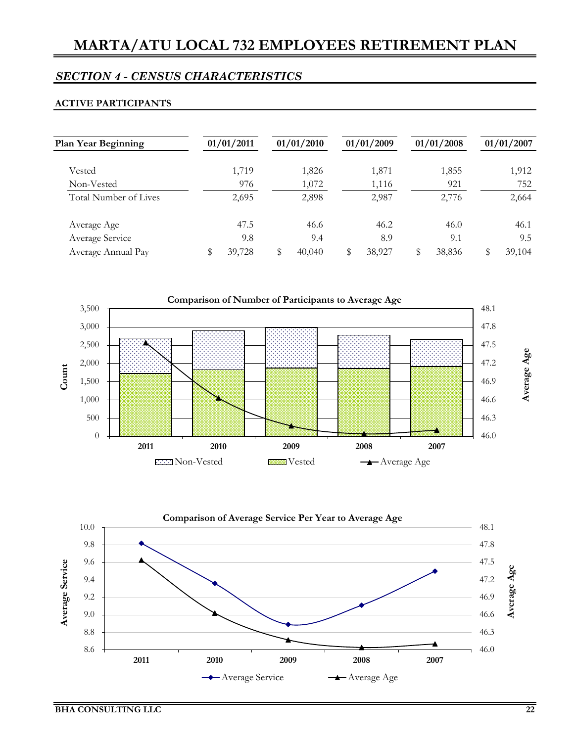#### **ACTIVE PARTICIPANTS**

| <b>Plan Year Beginning</b> | 01/01/2011 | 01/01/2010   |   | 01/01/2009 | 01/01/2008   | 01/01/2007 |
|----------------------------|------------|--------------|---|------------|--------------|------------|
| Vested                     | 1,719      | 1,826        |   | 1,871      | 1,855        | 1,912      |
| Non-Vested                 | 976        | 1,072        |   | 1,116      | 921          | 752        |
| Total Number of Lives      | 2,695      | 2,898        |   | 2,987      | 2,776        | 2,664      |
| Average Age                | 47.5       | 46.6         |   | 46.2       | 46.0         | 46.1       |
| Average Service            | 9.8        | 9.4          |   | 8.9        | 9.1          | 9.5        |
| Average Annual Pay         | 39,728     | \$<br>40,040 | S | 38,927     | \$<br>38,836 | 39,104     |



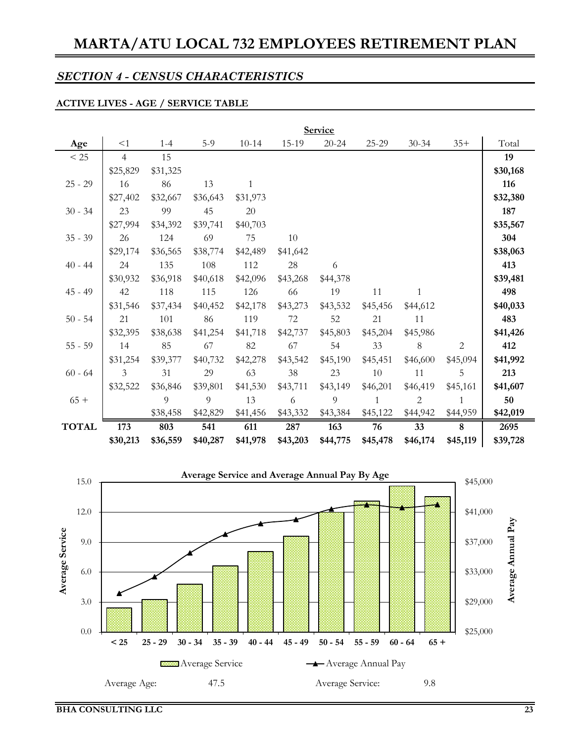### **ACTIVE LIVES - AGE / SERVICE TABLE**

 $\overline{a}$ 

|              | <b>Service</b> |          |          |              |          |           |              |                |                |          |  |  |  |
|--------------|----------------|----------|----------|--------------|----------|-----------|--------------|----------------|----------------|----------|--|--|--|
| Age          | <1             | $1 - 4$  | $5-9$    | $10 - 14$    | 15-19    | $20 - 24$ | 25-29        | $30 - 34$      | $35+$          | Total    |  |  |  |
| $< 25$       | $\overline{4}$ | 15       |          |              |          |           |              |                |                | 19       |  |  |  |
|              | \$25,829       | \$31,325 |          |              |          |           |              |                |                | \$30,168 |  |  |  |
| $25 - 29$    | 16             | 86       | 13       | $\mathbf{1}$ |          |           |              |                |                | 116      |  |  |  |
|              | \$27,402       | \$32,667 | \$36,643 | \$31,973     |          |           |              |                |                | \$32,380 |  |  |  |
| $30 - 34$    | 23             | 99       | 45       | 20           |          |           |              |                |                | 187      |  |  |  |
|              | \$27,994       | \$34,392 | \$39,741 | \$40,703     |          |           |              |                |                | \$35,567 |  |  |  |
| $35 - 39$    | 26             | 124      | 69       | 75           | 10       |           |              |                |                | 304      |  |  |  |
|              | \$29,174       | \$36,565 | \$38,774 | \$42,489     | \$41,642 |           |              |                |                | \$38,063 |  |  |  |
| $40 - 44$    | 24             | 135      | 108      | 112          | 28       | 6         |              |                |                | 413      |  |  |  |
|              | \$30,932       | \$36,918 | \$40,618 | \$42,096     | \$43,268 | \$44,378  |              |                |                | \$39,481 |  |  |  |
| $45 - 49$    | 42             | 118      | 115      | 126          | 66       | 19        | 11           | 1              |                | 498      |  |  |  |
|              | \$31,546       | \$37,434 | \$40,452 | \$42,178     | \$43,273 | \$43,532  | \$45,456     | \$44,612       |                | \$40,033 |  |  |  |
| $50 - 54$    | 21             | 101      | 86       | 119          | 72       | 52        | 21           | 11             |                | 483      |  |  |  |
|              | \$32,395       | \$38,638 | \$41,254 | \$41,718     | \$42,737 | \$45,803  | \$45,204     | \$45,986       |                | \$41,426 |  |  |  |
| $55 - 59$    | 14             | 85       | 67       | 82           | 67       | 54        | 33           | 8              | $\overline{c}$ | 412      |  |  |  |
|              | \$31,254       | \$39,377 | \$40,732 | \$42,278     | \$43,542 | \$45,190  | \$45,451     | \$46,600       | \$45,094       | \$41,992 |  |  |  |
| $60 - 64$    | $\mathfrak{Z}$ | 31       | 29       | 63           | 38       | 23        | 10           | 11             | 5              | 213      |  |  |  |
|              | \$32,522       | \$36,846 | \$39,801 | \$41,530     | \$43,711 | \$43,149  | \$46,201     | \$46,419       | \$45,161       | \$41,607 |  |  |  |
| $65 +$       |                | 9        | 9        | 13           | 6        | 9         | $\mathbf{1}$ | $\overline{2}$ | 1              | 50       |  |  |  |
|              |                | \$38,458 | \$42,829 | \$41,456     | \$43,332 | \$43,384  | \$45,122     | \$44,942       | \$44,959       | \$42,019 |  |  |  |
| <b>TOTAL</b> | 173            | 803      | 541      | 611          | 287      | 163       | 76           | 33             | 8              | 2695     |  |  |  |
|              | \$30,213       | \$36,559 | \$40,287 | \$41,978     | \$43,203 | \$44,775  | \$45,478     | \$46,174       | \$45,119       | \$39,728 |  |  |  |

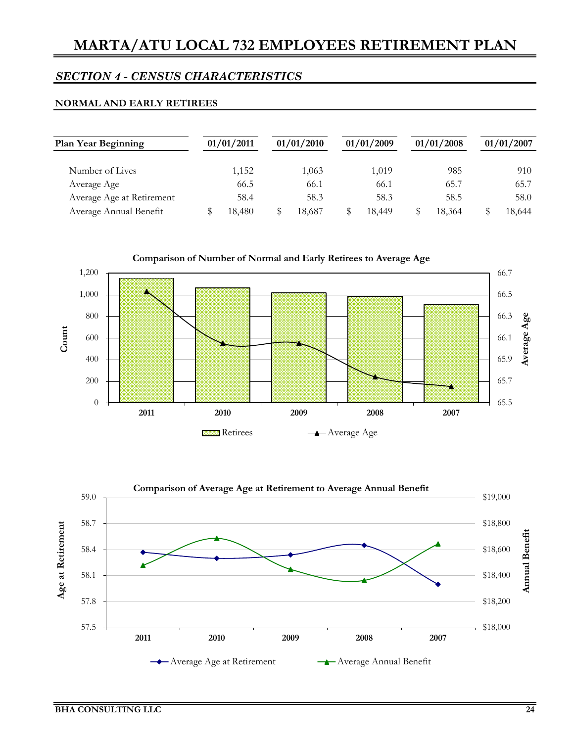#### **NORMAL AND EARLY RETIREES**

| <b>Plan Year Beginning</b> | 01/01/2011 | 01/01/2010 | 01/01/2009 | 01/01/2008 | 01/01/2007 |
|----------------------------|------------|------------|------------|------------|------------|
| Number of Lives            | 1,152      | 1,063      | 1,019      | 985        | 910        |
| Average Age                | 66.5       | 66.1       | 66.1       | 65.7       | 65.7       |
| Average Age at Retirement  | 58.4       | 58.3       | 58.3       | 58.5       | 58.0       |
| Average Annual Benefit     | 18.480     | 18.687     | 18.449     | 18.364     | 18.644     |



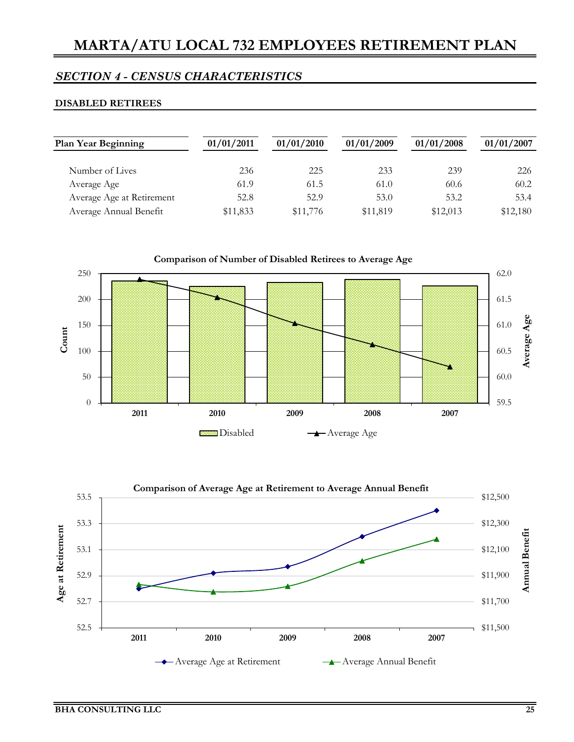### *SECTION 4 - CENSUS CHARACTERISTICS*

#### **DISABLED RETIREES**

| <b>Plan Year Beginning</b> | 01/01/2011 | 01/01/2010 | 01/01/2009 | 01/01/2008 | 01/01/2007 |
|----------------------------|------------|------------|------------|------------|------------|
| Number of Lives            | 236        | 225        | 233        | 239        | 226        |
| Average Age                | 61.9       | 61.5       | 61.0       | 60.6       | 60.2       |
| Average Age at Retirement  | 52.8       | 52.9       | 53.0       | 53.2       | 53.4       |
| Average Annual Benefit     | \$11,833   | \$11,776   | \$11,819   | \$12,013   | \$12,180   |



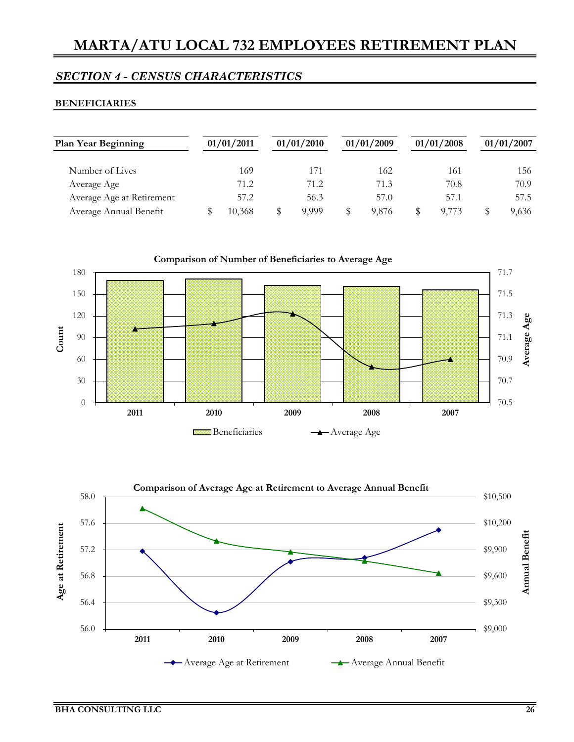#### **BENEFICIARIES**

| <b>Plan Year Beginning</b> | 01/01/2011 | 01/01/2010 | 01/01/2009 | 01/01/2008 | 01/01/2007 |
|----------------------------|------------|------------|------------|------------|------------|
| Number of Lives            | 169        | 171        | 162        | 161        | 156        |
| Average Age                | 71.2       | 71.2       | 71.3       | 70.8       | 70.9       |
| Average Age at Retirement  | 57.2       | 56.3       | 57.0       | 57.1       | 57.5       |
| Average Annual Benefit     | 10.368     | 9.999      | 9.876      | 9,773      | 9,636      |



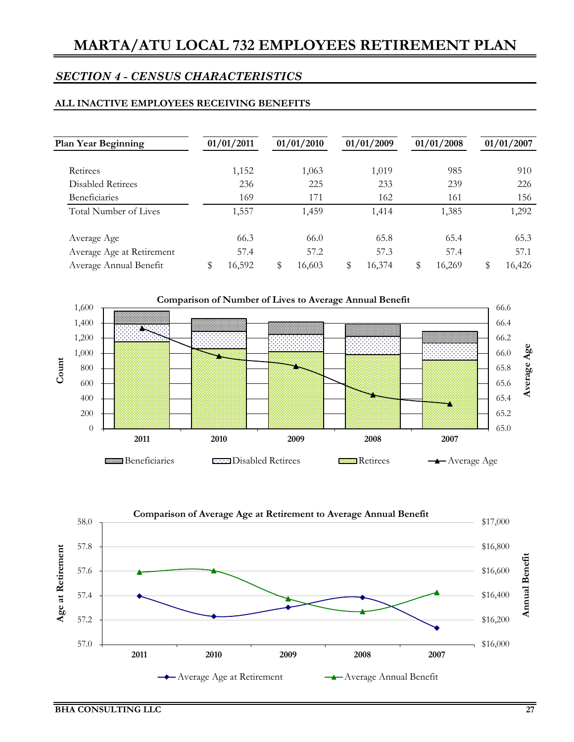#### **ALL INACTIVE EMPLOYEES RECEIVING BENEFITS**

| <b>Plan Year Beginning</b> | 01/01/2011   |   | 01/01/2010 | 01/01/2009   | 01/01/2008   | 01/01/2007 |
|----------------------------|--------------|---|------------|--------------|--------------|------------|
| Retirees                   | 1,152        |   | 1,063      | 1,019        | 985          | 910        |
| <b>Disabled Retirees</b>   | 236          |   | 225        | 233          | 239          | 226        |
| <b>Beneficiaries</b>       | 169          |   | 171        | 162          | 161          | 156        |
| Total Number of Lives      | 1,557        |   | 1,459      | 1,414        | 1,385        | 1,292      |
| Average Age                | 66.3         |   | 66.0       | 65.8         | 65.4         | 65.3       |
| Average Age at Retirement  | 57.4         |   | 57.2       | 57.3         | 57.4         | 57.1       |
| Average Annual Benefit     | \$<br>16,592 | S | 16,603     | \$<br>16,374 | \$<br>16,269 | 16,426     |



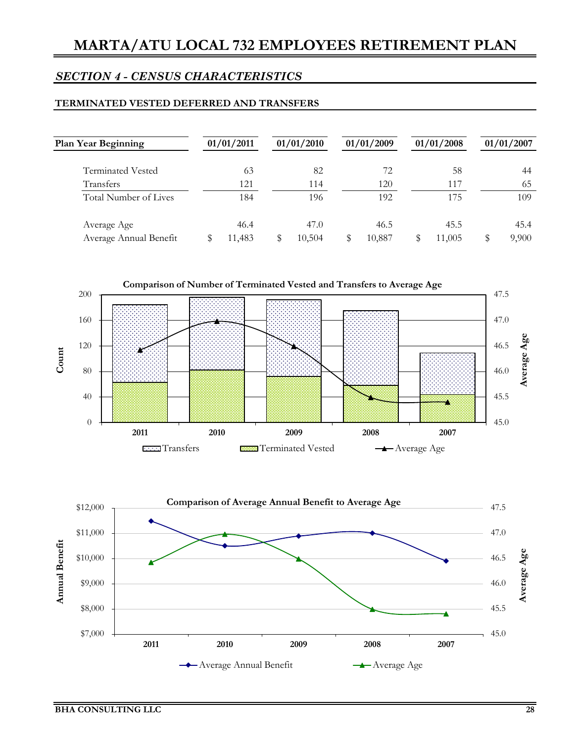#### **TERMINATED VESTED DEFERRED AND TRANSFERS**

| <b>Plan Year Beginning</b> | 01/01/2011 | 01/01/2010 | 01/01/2009 | 01/01/2008 | 01/01/2007 |
|----------------------------|------------|------------|------------|------------|------------|
| Terminated Vested          | 63         | 82         | 72         | 58         | 44         |
| Transfers                  | 121        | 114        | 120        | 117        | 65         |
| Total Number of Lives      | 184        | 196        | 192        | 175        | 109        |
| Average Age                | 46.4       | 47.0       | 46.5       | 45.5       | 45.4       |
| Average Annual Benefit     | 11,483     | 10,504     | 10,887     | 11,005     | 9,900      |



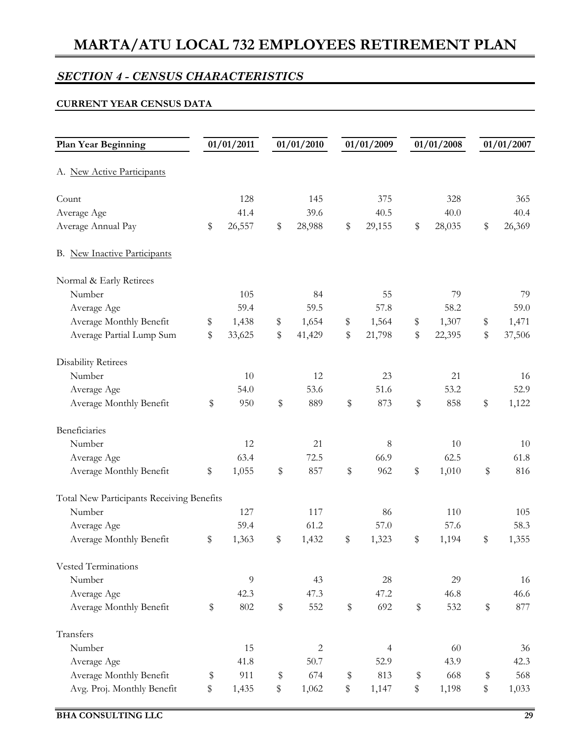## *SECTION 4 - CENSUS CHARACTERISTICS*

#### **CURRENT YEAR CENSUS DATA**

| Plan Year Beginning                       | 01/01/2011   | 01/01/2010   | 01/01/2009     | 01/01/2008   | 01/01/2007   |
|-------------------------------------------|--------------|--------------|----------------|--------------|--------------|
| A. New Active Participants                |              |              |                |              |              |
| Count                                     | 128          | 145          | 375            | 328          | 365          |
| Average Age                               | 41.4         | 39.6         | 40.5           | 40.0         | 40.4         |
| Average Annual Pay                        | \$<br>26,557 | \$<br>28,988 | \$<br>29,155   | \$<br>28,035 | \$<br>26,369 |
| B. New Inactive Participants              |              |              |                |              |              |
| Normal & Early Retirees                   |              |              |                |              |              |
| Number                                    | 105          | 84           | 55             | 79           | 79           |
| Average Age                               | 59.4         | 59.5         | 57.8           | 58.2         | 59.0         |
| Average Monthly Benefit                   | \$<br>1,438  | \$<br>1,654  | \$<br>1,564    | \$<br>1,307  | \$<br>1,471  |
| Average Partial Lump Sum                  | \$<br>33,625 | \$<br>41,429 | \$<br>21,798   | \$<br>22,395 | \$<br>37,506 |
| <b>Disability Retirees</b>                |              |              |                |              |              |
| Number                                    | 10           | 12           | 23             | 21           | 16           |
| Average Age                               | 54.0         | 53.6         | 51.6           | 53.2         | 52.9         |
| Average Monthly Benefit                   | \$<br>950    | \$<br>889    | \$<br>873      | \$<br>858    | \$<br>1,122  |
| Beneficiaries                             |              |              |                |              |              |
| Number                                    | 12           | 21           | $\,8\,$        | $10\,$       | 10           |
| Average Age                               | 63.4         | 72.5         | 66.9           | 62.5         | 61.8         |
| Average Monthly Benefit                   | \$<br>1,055  | \$<br>857    | \$<br>962      | \$<br>1,010  | \$<br>816    |
| Total New Participants Receiving Benefits |              |              |                |              |              |
| Number                                    | 127          | 117          | 86             | 110          | 105          |
| Average Age                               | 59.4         | 61.2         | 57.0           | 57.6         | 58.3         |
| Average Monthly Benefit                   | \$<br>1,363  | \$<br>1,432  | \$<br>1,323    | \$<br>1,194  | \$<br>1,355  |
| Vested Terminations                       |              |              |                |              |              |
| Number                                    | 9            | 43           | 28             | 29           | 16           |
| Average Age                               | 42.3         | 47.3         | 47.2           | 46.8         | 46.6         |
| Average Monthly Benefit                   | \$<br>802    | \$<br>552    | \$<br>692      | \$<br>532    | \$<br>877    |
| Transfers                                 |              |              |                |              |              |
| Number                                    | 15           | $\sqrt{2}$   | $\overline{4}$ | 60           | 36           |
| Average Age                               | 41.8         | 50.7         | 52.9           | 43.9         | 42.3         |
| Average Monthly Benefit                   | \$<br>911    | \$<br>674    | \$<br>813      | \$<br>668    | \$<br>568    |
| Avg. Proj. Monthly Benefit                | \$<br>1,435  | \$<br>1,062  | \$<br>1,147    | \$<br>1,198  | \$<br>1,033  |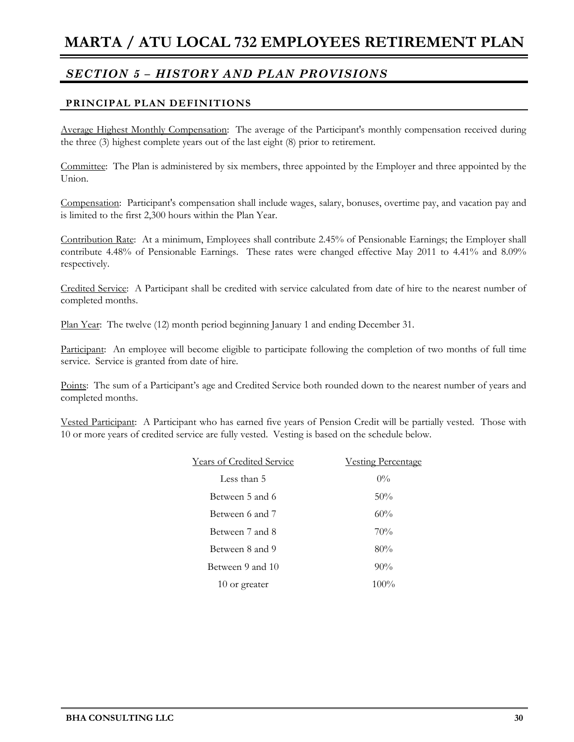### **PRINCIPAL PLAN DEFINITIONS**

Average Highest Monthly Compensation: The average of the Participant's monthly compensation received during the three (3) highest complete years out of the last eight (8) prior to retirement.

Committee: The Plan is administered by six members, three appointed by the Employer and three appointed by the Union.

Compensation: Participant's compensation shall include wages, salary, bonuses, overtime pay, and vacation pay and is limited to the first 2,300 hours within the Plan Year.

Contribution Rate: At a minimum, Employees shall contribute 2.45% of Pensionable Earnings; the Employer shall contribute 4.48% of Pensionable Earnings. These rates were changed effective May 2011 to 4.41% and 8.09% respectively.

Credited Service: A Participant shall be credited with service calculated from date of hire to the nearest number of completed months.

Plan Year: The twelve (12) month period beginning January 1 and ending December 31.

Participant: An employee will become eligible to participate following the completion of two months of full time service. Service is granted from date of hire.

Points: The sum of a Participant's age and Credited Service both rounded down to the nearest number of years and completed months.

Vested Participant: A Participant who has earned five years of Pension Credit will be partially vested. Those with 10 or more years of credited service are fully vested. Vesting is based on the schedule below.

| <b>Years of Credited Service</b> | <b>Vesting Percentage</b> |
|----------------------------------|---------------------------|
| Less than 5                      | $0\%$                     |
| Between 5 and 6                  | 50%                       |
| Between 6 and 7                  | 60%                       |
| Between 7 and 8                  | 70%                       |
| Between 8 and 9                  | 80%                       |
| Between 9 and 10                 | $90\%$                    |
| 10 or greater                    | $100\%$                   |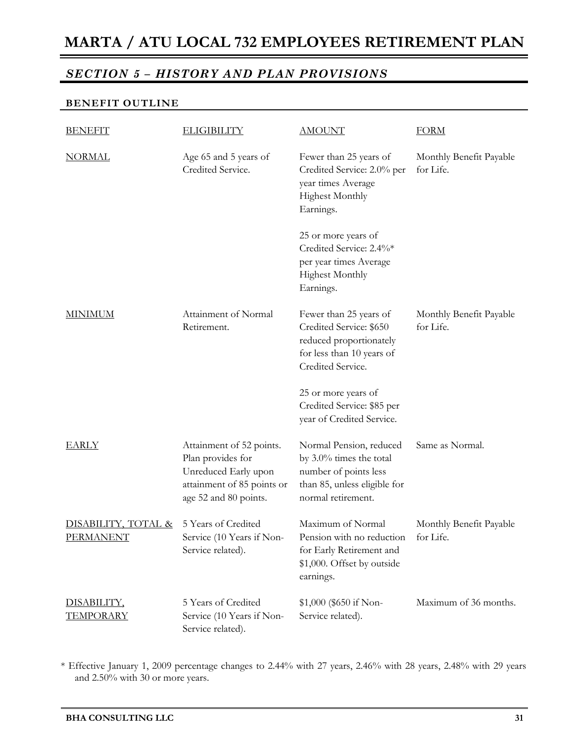## *SECTION 5 – HISTORY AND PLAN PROVISIONS*

#### **BENEFIT OUTLINE**

| <b>BENEFIT</b>                          | <b>ELIGIBILITY</b>                                                                                                           | <b>AMOUNT</b>                                                                                                                        | <b>FORM</b>                          |
|-----------------------------------------|------------------------------------------------------------------------------------------------------------------------------|--------------------------------------------------------------------------------------------------------------------------------------|--------------------------------------|
| <b>NORMAL</b>                           | Age 65 and 5 years of<br>Credited Service.                                                                                   | Fewer than 25 years of<br>Credited Service: 2.0% per<br>year times Average<br><b>Highest Monthly</b><br>Earnings.                    | Monthly Benefit Payable<br>for Life. |
|                                         |                                                                                                                              | 25 or more years of<br>Credited Service: 2.4%*<br>per year times Average<br><b>Highest Monthly</b><br>Earnings.                      |                                      |
| <b>MINIMUM</b>                          | Attainment of Normal<br>Retirement.                                                                                          | Fewer than 25 years of<br>Credited Service: \$650<br>reduced proportionately<br>for less than 10 years of<br>Credited Service.       | Monthly Benefit Payable<br>for Life. |
|                                         |                                                                                                                              | 25 or more years of<br>Credited Service: \$85 per<br>year of Credited Service.                                                       |                                      |
| <b>EARLY</b>                            | Attainment of 52 points.<br>Plan provides for<br>Unreduced Early upon<br>attainment of 85 points or<br>age 52 and 80 points. | Normal Pension, reduced<br>by $3.0\%$ times the total<br>number of points less<br>than 85, unless eligible for<br>normal retirement. | Same as Normal.                      |
| DISABILITY, TOTAL &<br><u>PERMANENT</u> | 5 Years of Credited<br>Service (10 Years if Non-<br>Service related).                                                        | Maximum of Normal<br>Pension with no reduction<br>for Early Retirement and<br>\$1,000. Offset by outside<br>earnings.                | Monthly Benefit Payable<br>for Life. |
| DISABILITY,<br><b>TEMPORARY</b>         | 5 Years of Credited<br>Service (10 Years if Non-<br>Service related).                                                        | \$1,000 (\$650 if Non-<br>Service related).                                                                                          | Maximum of 36 months.                |

\* Effective January 1, 2009 percentage changes to 2.44% with 27 years, 2.46% with 28 years, 2.48% with 29 years and 2.50% with 30 or more years.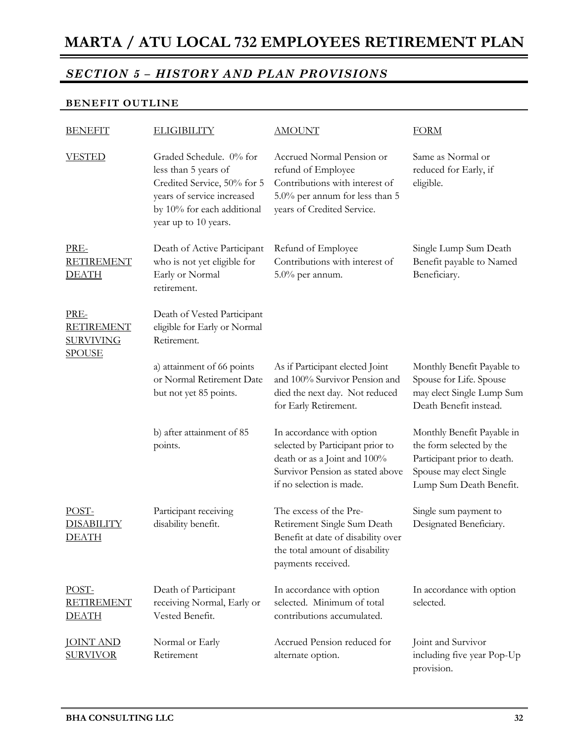## *SECTION 5 – HISTORY AND PLAN PROVISIONS*

#### **BENEFIT OUTLINE**

| <b>BENEFIT</b>                                                 | <b>ELIGIBILITY</b>                                                                                                                                                 | <b>AMOUNT</b>                                                                                                                                                 | <b>FORM</b>                                                                                                                                 |  |
|----------------------------------------------------------------|--------------------------------------------------------------------------------------------------------------------------------------------------------------------|---------------------------------------------------------------------------------------------------------------------------------------------------------------|---------------------------------------------------------------------------------------------------------------------------------------------|--|
| <b>VESTED</b>                                                  | Graded Schedule. 0% for<br>less than 5 years of<br>Credited Service, 50% for 5<br>years of service increased<br>by 10% for each additional<br>year up to 10 years. | Accrued Normal Pension or<br>refund of Employee<br>Contributions with interest of<br>5.0% per annum for less than 5<br>years of Credited Service.             | Same as Normal or<br>reduced for Early, if<br>eligible.                                                                                     |  |
| PRE-<br><b>RETIREMENT</b><br><b>DEATH</b>                      | Death of Active Participant<br>who is not yet eligible for<br>Early or Normal<br>retirement.                                                                       | Refund of Employee<br>Contributions with interest of<br>$5.0\%$ per annum.                                                                                    | Single Lump Sum Death<br>Benefit payable to Named<br>Beneficiary.                                                                           |  |
| PRE-<br><b>RETIREMENT</b><br><b>SURVIVING</b><br><u>SPOUSE</u> | Death of Vested Participant<br>eligible for Early or Normal<br>Retirement.                                                                                         |                                                                                                                                                               |                                                                                                                                             |  |
|                                                                | a) attainment of 66 points<br>or Normal Retirement Date<br>but not yet 85 points.                                                                                  | As if Participant elected Joint<br>and 100% Survivor Pension and<br>died the next day. Not reduced<br>for Early Retirement.                                   | Monthly Benefit Payable to<br>Spouse for Life. Spouse<br>may elect Single Lump Sum<br>Death Benefit instead.                                |  |
|                                                                | b) after attainment of 85<br>points.                                                                                                                               | In accordance with option<br>selected by Participant prior to<br>death or as a Joint and 100%<br>Survivor Pension as stated above<br>if no selection is made. | Monthly Benefit Payable in<br>the form selected by the<br>Participant prior to death.<br>Spouse may elect Single<br>Lump Sum Death Benefit. |  |
| POST-<br><b>DISABILITY</b><br><u>DEATH</u>                     | Participant receiving<br>disability benefit.                                                                                                                       | The excess of the Pre-<br>Retirement Single Sum Death<br>Benefit at date of disability over<br>the total amount of disability<br>payments received.           | Single sum payment to<br>Designated Beneficiary.                                                                                            |  |
| POST-<br><b>RETIREMENT</b><br><b>DEATH</b>                     | Death of Participant<br>receiving Normal, Early or<br>Vested Benefit.                                                                                              | In accordance with option<br>selected. Minimum of total<br>contributions accumulated.                                                                         | In accordance with option<br>selected.                                                                                                      |  |
| <b>JOINT AND</b><br><b>SURVIVOR</b>                            | Normal or Early<br>Retirement                                                                                                                                      | Accrued Pension reduced for<br>alternate option.                                                                                                              | Joint and Survivor<br>including five year Pop-Up<br>provision.                                                                              |  |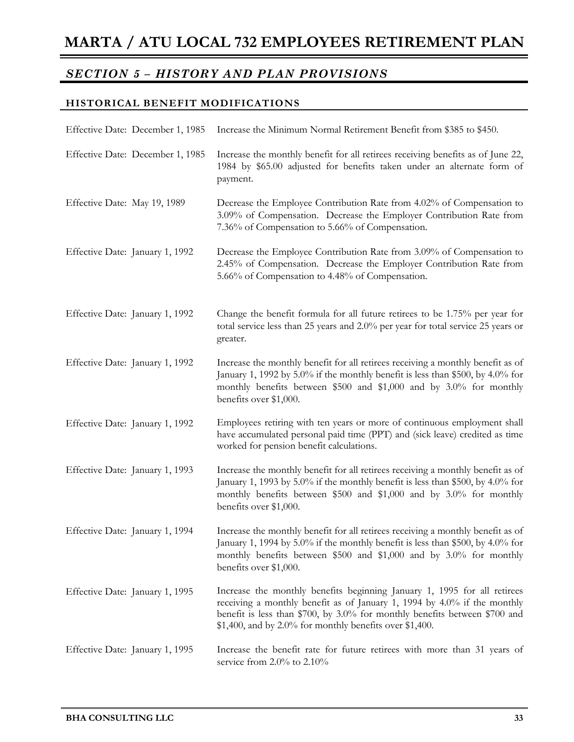### **HISTORICAL BENEFIT MODIFICATIONS**

| Effective Date: December 1, 1985 | Increase the Minimum Normal Retirement Benefit from \$385 to \$450.                                                                                                                                                                                                                             |
|----------------------------------|-------------------------------------------------------------------------------------------------------------------------------------------------------------------------------------------------------------------------------------------------------------------------------------------------|
| Effective Date: December 1, 1985 | Increase the monthly benefit for all retirees receiving benefits as of June 22,<br>1984 by \$65.00 adjusted for benefits taken under an alternate form of<br>payment.                                                                                                                           |
| Effective Date: May 19, 1989     | Decrease the Employee Contribution Rate from 4.02% of Compensation to<br>3.09% of Compensation. Decrease the Employer Contribution Rate from<br>7.36% of Compensation to 5.66% of Compensation.                                                                                                 |
| Effective Date: January 1, 1992  | Decrease the Employee Contribution Rate from 3.09% of Compensation to<br>2.45% of Compensation. Decrease the Employer Contribution Rate from<br>5.66% of Compensation to 4.48% of Compensation.                                                                                                 |
| Effective Date: January 1, 1992  | Change the benefit formula for all future retirees to be 1.75% per year for<br>total service less than 25 years and 2.0% per year for total service 25 years or<br>greater.                                                                                                                     |
| Effective Date: January 1, 1992  | Increase the monthly benefit for all retirees receiving a monthly benefit as of<br>January 1, 1992 by 5.0% if the monthly benefit is less than \$500, by 4.0% for<br>monthly benefits between \$500 and \$1,000 and by 3.0% for monthly<br>benefits over \$1,000.                               |
| Effective Date: January 1, 1992  | Employees retiring with ten years or more of continuous employment shall<br>have accumulated personal paid time (PPT) and (sick leave) credited as time<br>worked for pension benefit calculations.                                                                                             |
| Effective Date: January 1, 1993  | Increase the monthly benefit for all retirees receiving a monthly benefit as of<br>January 1, 1993 by 5.0% if the monthly benefit is less than \$500, by 4.0% for<br>monthly benefits between \$500 and \$1,000 and by 3.0% for monthly<br>benefits over \$1,000.                               |
| Effective Date: January 1, 1994  | Increase the monthly benefit for all retirees receiving a monthly benefit as of<br>January 1, 1994 by 5.0% if the monthly benefit is less than \$500, by 4.0% for<br>monthly benefits between \$500 and \$1,000 and by 3.0% for monthly<br>benefits over \$1,000.                               |
| Effective Date: January 1, 1995  | Increase the monthly benefits beginning January 1, 1995 for all retirees<br>receiving a monthly benefit as of January 1, 1994 by 4.0% if the monthly<br>benefit is less than \$700, by 3.0% for monthly benefits between \$700 and<br>$$1,400$ , and by 2.0% for monthly benefits over \$1,400. |
| Effective Date: January 1, 1995  | Increase the benefit rate for future retirees with more than 31 years of<br>service from $2.0\%$ to $2.10\%$                                                                                                                                                                                    |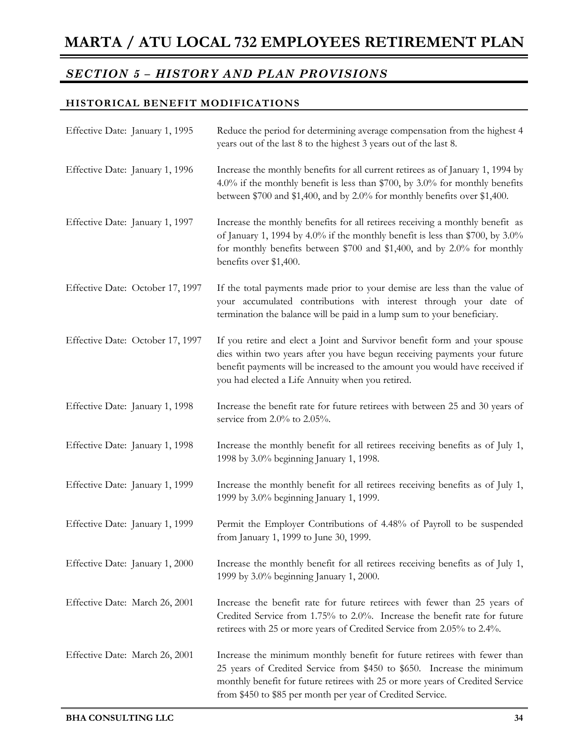### **HISTORICAL BENEFIT MODIFICATIONS**

| Effective Date: January 1, 1995  | Reduce the period for determining average compensation from the highest 4<br>years out of the last 8 to the highest 3 years out of the last 8.                                                                                                                                                    |
|----------------------------------|---------------------------------------------------------------------------------------------------------------------------------------------------------------------------------------------------------------------------------------------------------------------------------------------------|
| Effective Date: January 1, 1996  | Increase the monthly benefits for all current retirees as of January 1, 1994 by<br>4.0% if the monthly benefit is less than \$700, by 3.0% for monthly benefits<br>between \$700 and \$1,400, and by 2.0% for monthly benefits over \$1,400.                                                      |
| Effective Date: January 1, 1997  | Increase the monthly benefits for all retirees receiving a monthly benefit as<br>of January 1, 1994 by 4.0% if the monthly benefit is less than \$700, by $3.0\%$<br>for monthly benefits between \$700 and \$1,400, and by 2.0% for monthly<br>benefits over \$1,400.                            |
| Effective Date: October 17, 1997 | If the total payments made prior to your demise are less than the value of<br>your accumulated contributions with interest through your date of<br>termination the balance will be paid in a lump sum to your beneficiary.                                                                        |
| Effective Date: October 17, 1997 | If you retire and elect a Joint and Survivor benefit form and your spouse<br>dies within two years after you have begun receiving payments your future<br>benefit payments will be increased to the amount you would have received if<br>you had elected a Life Annuity when you retired.         |
| Effective Date: January 1, 1998  | Increase the benefit rate for future retirees with between 25 and 30 years of<br>service from 2.0% to 2.05%.                                                                                                                                                                                      |
| Effective Date: January 1, 1998  | Increase the monthly benefit for all retirees receiving benefits as of July 1,<br>1998 by 3.0% beginning January 1, 1998.                                                                                                                                                                         |
| Effective Date: January 1, 1999  | Increase the monthly benefit for all retirees receiving benefits as of July 1,<br>1999 by 3.0% beginning January 1, 1999.                                                                                                                                                                         |
| Effective Date: January 1, 1999  | Permit the Employer Contributions of 4.48% of Payroll to be suspended<br>from January 1, 1999 to June 30, 1999.                                                                                                                                                                                   |
| Effective Date: January 1, 2000  | Increase the monthly benefit for all retirees receiving benefits as of July 1,<br>1999 by 3.0% beginning January 1, 2000.                                                                                                                                                                         |
| Effective Date: March 26, 2001   | Increase the benefit rate for future retirees with fewer than 25 years of<br>Credited Service from 1.75% to 2.0%. Increase the benefit rate for future<br>retirees with 25 or more years of Credited Service from 2.05% to 2.4%.                                                                  |
| Effective Date: March 26, 2001   | Increase the minimum monthly benefit for future retirees with fewer than<br>25 years of Credited Service from \$450 to \$650. Increase the minimum<br>monthly benefit for future retirees with 25 or more years of Credited Service<br>from \$450 to \$85 per month per year of Credited Service. |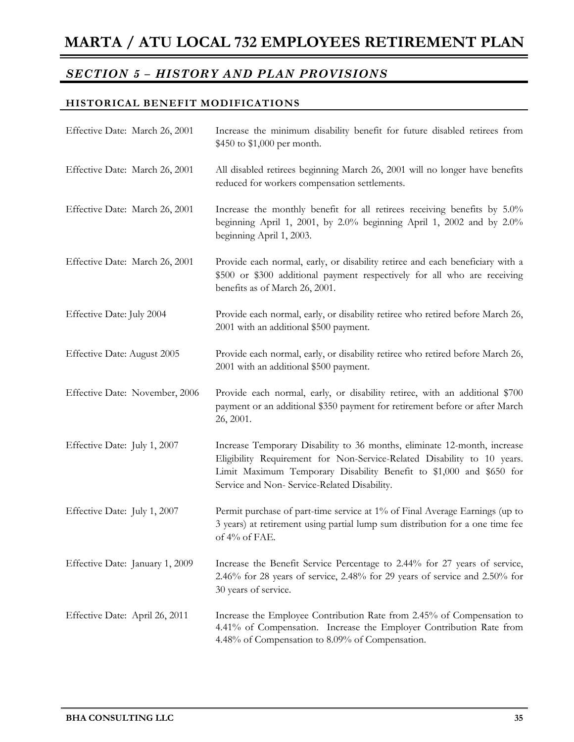### **HISTORICAL BENEFIT MODIFICATIONS**

| Effective Date: March 26, 2001  | Increase the minimum disability benefit for future disabled retirees from<br>\$450 to \$1,000 per month.                                                                                                                                                                   |
|---------------------------------|----------------------------------------------------------------------------------------------------------------------------------------------------------------------------------------------------------------------------------------------------------------------------|
| Effective Date: March 26, 2001  | All disabled retirees beginning March 26, 2001 will no longer have benefits<br>reduced for workers compensation settlements.                                                                                                                                               |
| Effective Date: March 26, 2001  | Increase the monthly benefit for all retirees receiving benefits by 5.0%<br>beginning April 1, 2001, by $2.0\%$ beginning April 1, 2002 and by $2.0\%$<br>beginning April 1, 2003.                                                                                         |
| Effective Date: March 26, 2001  | Provide each normal, early, or disability retiree and each beneficiary with a<br>\$500 or \$300 additional payment respectively for all who are receiving<br>benefits as of March 26, 2001.                                                                                |
| Effective Date: July 2004       | Provide each normal, early, or disability retiree who retired before March 26,<br>2001 with an additional \$500 payment.                                                                                                                                                   |
| Effective Date: August 2005     | Provide each normal, early, or disability retiree who retired before March 26,<br>2001 with an additional \$500 payment.                                                                                                                                                   |
| Effective Date: November, 2006  | Provide each normal, early, or disability retiree, with an additional \$700<br>payment or an additional \$350 payment for retirement before or after March<br>26, 2001.                                                                                                    |
| Effective Date: July 1, 2007    | Increase Temporary Disability to 36 months, eliminate 12-month, increase<br>Eligibility Requirement for Non-Service-Related Disability to 10 years.<br>Limit Maximum Temporary Disability Benefit to \$1,000 and \$650 for<br>Service and Non- Service-Related Disability. |
| Effective Date: July 1, 2007    | Permit purchase of part-time service at 1% of Final Average Earnings (up to<br>3 years) at retirement using partial lump sum distribution for a one time fee<br>of 4% of FAE.                                                                                              |
| Effective Date: January 1, 2009 | Increase the Benefit Service Percentage to 2.44% for 27 years of service,<br>2.46% for 28 years of service, 2.48% for 29 years of service and 2.50% for<br>30 years of service.                                                                                            |
| Effective Date: April 26, 2011  | Increase the Employee Contribution Rate from 2.45% of Compensation to<br>4.41% of Compensation. Increase the Employer Contribution Rate from<br>4.48% of Compensation to 8.09% of Compensation.                                                                            |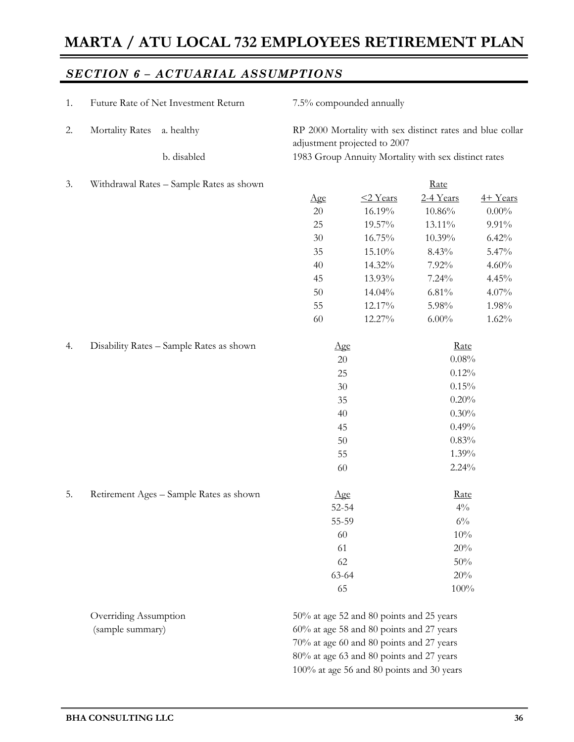## *SECTION 6 – ACTUARIAL ASSUMPTIONS*

| 1. | Future Rate of Net Investment Return     |                                          | 7.5% compounded annually                                                                  |                                                      |             |          |  |  |  |
|----|------------------------------------------|------------------------------------------|-------------------------------------------------------------------------------------------|------------------------------------------------------|-------------|----------|--|--|--|
| 2. | <b>Mortality Rates</b><br>a. healthy     |                                          | RP 2000 Mortality with sex distinct rates and blue collar<br>adjustment projected to 2007 |                                                      |             |          |  |  |  |
|    |                                          | b. disabled                              |                                                                                           | 1983 Group Annuity Mortality with sex distinct rates |             |          |  |  |  |
| 3. |                                          | Withdrawal Rates - Sample Rates as shown |                                                                                           |                                                      | Rate        |          |  |  |  |
|    |                                          |                                          | Age                                                                                       | <2 Years                                             | 2-4 Years   | 4+ Years |  |  |  |
|    |                                          |                                          | $20\,$                                                                                    | 16.19%                                               | $10.86\%$   | $0.00\%$ |  |  |  |
|    |                                          |                                          | 25                                                                                        | 19.57%                                               | 13.11%      | 9.91%    |  |  |  |
|    |                                          |                                          | $30\,$                                                                                    | 16.75%                                               | 10.39%      | 6.42%    |  |  |  |
|    |                                          |                                          | 35                                                                                        | 15.10%                                               | 8.43%       | 5.47%    |  |  |  |
|    |                                          |                                          | 40                                                                                        | 14.32%                                               | 7.92%       | 4.60%    |  |  |  |
|    |                                          |                                          | 45                                                                                        | 13.93%                                               | 7.24%       | 4.45%    |  |  |  |
|    |                                          |                                          | 50                                                                                        | 14.04%                                               | 6.81%       | $4.07\%$ |  |  |  |
|    |                                          |                                          | 55                                                                                        | 12.17%                                               | 5.98%       | 1.98%    |  |  |  |
|    |                                          |                                          | 60                                                                                        | 12.27%                                               | $6.00\%$    | 1.62%    |  |  |  |
| 4. | Disability Rates - Sample Rates as shown |                                          |                                                                                           | $\Delta$ ge                                          | Rate        |          |  |  |  |
|    |                                          |                                          |                                                                                           | 20                                                   | 0.08%       |          |  |  |  |
|    |                                          |                                          |                                                                                           | 25                                                   | 0.12%       |          |  |  |  |
|    |                                          |                                          |                                                                                           | 30                                                   | 0.15%       |          |  |  |  |
|    |                                          |                                          |                                                                                           | 35                                                   | 0.20%       |          |  |  |  |
|    |                                          |                                          |                                                                                           | 40                                                   | 0.30%       |          |  |  |  |
|    |                                          |                                          |                                                                                           | 45                                                   | 0.49%       |          |  |  |  |
|    |                                          |                                          |                                                                                           | 50                                                   | 0.83%       |          |  |  |  |
|    |                                          |                                          |                                                                                           | 55                                                   | 1.39%       |          |  |  |  |
|    |                                          |                                          |                                                                                           | 60                                                   | 2.24%       |          |  |  |  |
| 5. |                                          | Retirement Ages - Sample Rates as shown  |                                                                                           | $\Delta$ ge                                          | <u>Rate</u> |          |  |  |  |
|    |                                          |                                          |                                                                                           | 52-54                                                | $4\%$       |          |  |  |  |
|    |                                          |                                          |                                                                                           | 55-59                                                | $6\%$       |          |  |  |  |
|    |                                          |                                          | 60                                                                                        |                                                      | 10%         |          |  |  |  |
|    |                                          |                                          | 61                                                                                        |                                                      | 20%         |          |  |  |  |
|    |                                          |                                          |                                                                                           | 62                                                   | 50%         |          |  |  |  |
|    |                                          |                                          |                                                                                           | 63-64                                                | 20%         |          |  |  |  |
|    |                                          |                                          | 65                                                                                        |                                                      | 100%        |          |  |  |  |
|    | Overriding Assumption                    |                                          |                                                                                           | 50% at age 52 and 80 points and 25 years             |             |          |  |  |  |
|    | (sample summary)                         |                                          | 60% at age 58 and 80 points and 27 years                                                  |                                                      |             |          |  |  |  |
|    |                                          |                                          |                                                                                           | 70% at age 60 and 80 points and 27 years             |             |          |  |  |  |
|    |                                          |                                          | 80% at age 63 and 80 points and 27 years                                                  |                                                      |             |          |  |  |  |

100% at age 56 and 80 points and 30 years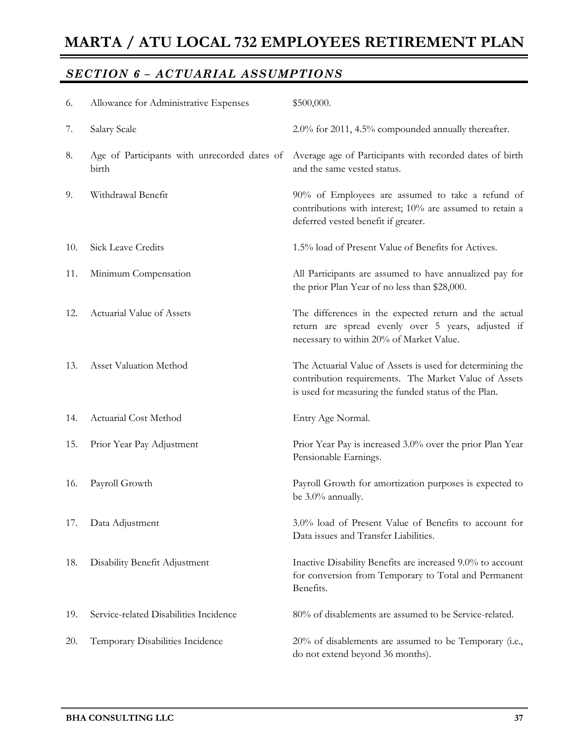## *SECTION 6 – ACTUARIAL ASSUMPTIONS*

| 6.  | Allowance for Administrative Expenses                 | \$500,000.                                                                                                                                                                 |
|-----|-------------------------------------------------------|----------------------------------------------------------------------------------------------------------------------------------------------------------------------------|
| 7.  | Salary Scale                                          | 2.0% for 2011, 4.5% compounded annually thereafter.                                                                                                                        |
| 8.  | Age of Participants with unrecorded dates of<br>birth | Average age of Participants with recorded dates of birth<br>and the same vested status.                                                                                    |
| 9.  | Withdrawal Benefit                                    | 90% of Employees are assumed to take a refund of<br>contributions with interest; 10% are assumed to retain a<br>deferred vested benefit if greater.                        |
| 10. | Sick Leave Credits                                    | 1.5% load of Present Value of Benefits for Actives.                                                                                                                        |
| 11. | Minimum Compensation                                  | All Participants are assumed to have annualized pay for<br>the prior Plan Year of no less than \$28,000.                                                                   |
| 12. | Actuarial Value of Assets                             | The differences in the expected return and the actual<br>return are spread evenly over 5 years, adjusted if<br>necessary to within 20% of Market Value.                    |
| 13. | Asset Valuation Method                                | The Actuarial Value of Assets is used for determining the<br>contribution requirements. The Market Value of Assets<br>is used for measuring the funded status of the Plan. |
| 14. | Actuarial Cost Method                                 | Entry Age Normal.                                                                                                                                                          |
| 15. | Prior Year Pay Adjustment                             | Prior Year Pay is increased 3.0% over the prior Plan Year<br>Pensionable Earnings.                                                                                         |
| 16. | Payroll Growth                                        | Payroll Growth for amortization purposes is expected to<br>be 3.0% annually.                                                                                               |
| 17. | Data Adjustment                                       | 3.0% load of Present Value of Benefits to account for<br>Data issues and Transfer Liabilities.                                                                             |
| 18. | Disability Benefit Adjustment                         | Inactive Disability Benefits are increased 9.0% to account<br>for conversion from Temporary to Total and Permanent<br>Benefits.                                            |
| 19. | Service-related Disabilities Incidence                | 80% of disablements are assumed to be Service-related.                                                                                                                     |
| 20. | Temporary Disabilities Incidence                      | 20% of disablements are assumed to be Temporary (i.e.,<br>do not extend beyond 36 months).                                                                                 |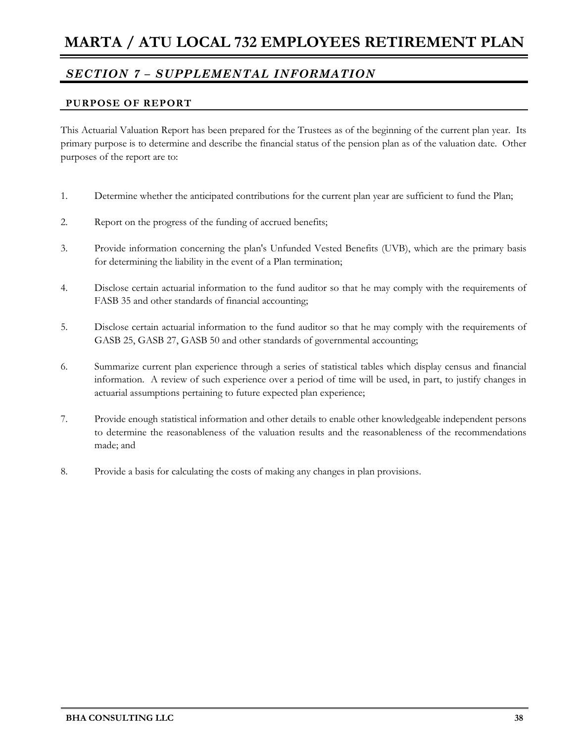#### **PURPOSE OF REPORT**

This Actuarial Valuation Report has been prepared for the Trustees as of the beginning of the current plan year. Its primary purpose is to determine and describe the financial status of the pension plan as of the valuation date. Other purposes of the report are to:

- 1. Determine whether the anticipated contributions for the current plan year are sufficient to fund the Plan;
- 2. Report on the progress of the funding of accrued benefits;
- 3. Provide information concerning the plan's Unfunded Vested Benefits (UVB), which are the primary basis for determining the liability in the event of a Plan termination;
- 4. Disclose certain actuarial information to the fund auditor so that he may comply with the requirements of FASB 35 and other standards of financial accounting;
- 5. Disclose certain actuarial information to the fund auditor so that he may comply with the requirements of GASB 25, GASB 27, GASB 50 and other standards of governmental accounting;
- 6. Summarize current plan experience through a series of statistical tables which display census and financial information. A review of such experience over a period of time will be used, in part, to justify changes in actuarial assumptions pertaining to future expected plan experience;
- 7. Provide enough statistical information and other details to enable other knowledgeable independent persons to determine the reasonableness of the valuation results and the reasonableness of the recommendations made; and
- 8. Provide a basis for calculating the costs of making any changes in plan provisions.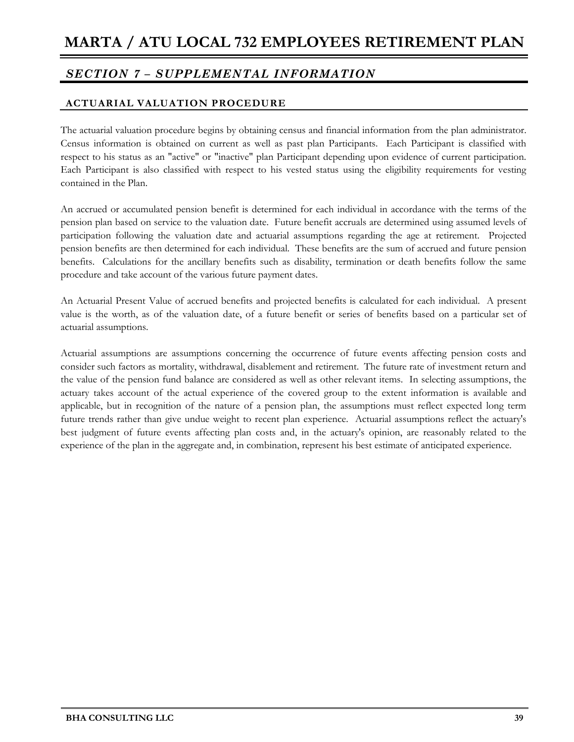### **ACTUARIAL VALUATION PROCEDURE**

The actuarial valuation procedure begins by obtaining census and financial information from the plan administrator. Census information is obtained on current as well as past plan Participants. Each Participant is classified with respect to his status as an "active" or "inactive" plan Participant depending upon evidence of current participation. Each Participant is also classified with respect to his vested status using the eligibility requirements for vesting contained in the Plan.

An accrued or accumulated pension benefit is determined for each individual in accordance with the terms of the pension plan based on service to the valuation date. Future benefit accruals are determined using assumed levels of participation following the valuation date and actuarial assumptions regarding the age at retirement. Projected pension benefits are then determined for each individual. These benefits are the sum of accrued and future pension benefits. Calculations for the ancillary benefits such as disability, termination or death benefits follow the same procedure and take account of the various future payment dates.

An Actuarial Present Value of accrued benefits and projected benefits is calculated for each individual. A present value is the worth, as of the valuation date, of a future benefit or series of benefits based on a particular set of actuarial assumptions.

Actuarial assumptions are assumptions concerning the occurrence of future events affecting pension costs and consider such factors as mortality, withdrawal, disablement and retirement. The future rate of investment return and the value of the pension fund balance are considered as well as other relevant items. In selecting assumptions, the actuary takes account of the actual experience of the covered group to the extent information is available and applicable, but in recognition of the nature of a pension plan, the assumptions must reflect expected long term future trends rather than give undue weight to recent plan experience. Actuarial assumptions reflect the actuary's best judgment of future events affecting plan costs and, in the actuary's opinion, are reasonably related to the experience of the plan in the aggregate and, in combination, represent his best estimate of anticipated experience.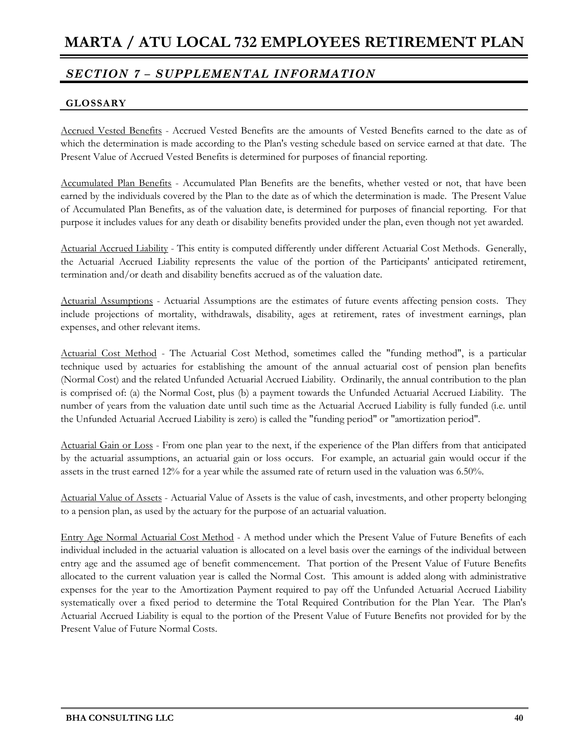### **GLOSSARY**

Accrued Vested Benefits - Accrued Vested Benefits are the amounts of Vested Benefits earned to the date as of which the determination is made according to the Plan's vesting schedule based on service earned at that date. The Present Value of Accrued Vested Benefits is determined for purposes of financial reporting.

Accumulated Plan Benefits - Accumulated Plan Benefits are the benefits, whether vested or not, that have been earned by the individuals covered by the Plan to the date as of which the determination is made. The Present Value of Accumulated Plan Benefits, as of the valuation date, is determined for purposes of financial reporting. For that purpose it includes values for any death or disability benefits provided under the plan, even though not yet awarded.

Actuarial Accrued Liability - This entity is computed differently under different Actuarial Cost Methods. Generally, the Actuarial Accrued Liability represents the value of the portion of the Participants' anticipated retirement, termination and/or death and disability benefits accrued as of the valuation date.

Actuarial Assumptions - Actuarial Assumptions are the estimates of future events affecting pension costs. They include projections of mortality, withdrawals, disability, ages at retirement, rates of investment earnings, plan expenses, and other relevant items.

Actuarial Cost Method - The Actuarial Cost Method, sometimes called the "funding method", is a particular technique used by actuaries for establishing the amount of the annual actuarial cost of pension plan benefits (Normal Cost) and the related Unfunded Actuarial Accrued Liability. Ordinarily, the annual contribution to the plan is comprised of: (a) the Normal Cost, plus (b) a payment towards the Unfunded Actuarial Accrued Liability. The number of years from the valuation date until such time as the Actuarial Accrued Liability is fully funded (i.e. until the Unfunded Actuarial Accrued Liability is zero) is called the "funding period" or "amortization period".

Actuarial Gain or Loss - From one plan year to the next, if the experience of the Plan differs from that anticipated by the actuarial assumptions, an actuarial gain or loss occurs. For example, an actuarial gain would occur if the assets in the trust earned 12% for a year while the assumed rate of return used in the valuation was 6.50%.

Actuarial Value of Assets - Actuarial Value of Assets is the value of cash, investments, and other property belonging to a pension plan, as used by the actuary for the purpose of an actuarial valuation.

Entry Age Normal Actuarial Cost Method - A method under which the Present Value of Future Benefits of each individual included in the actuarial valuation is allocated on a level basis over the earnings of the individual between entry age and the assumed age of benefit commencement. That portion of the Present Value of Future Benefits allocated to the current valuation year is called the Normal Cost. This amount is added along with administrative expenses for the year to the Amortization Payment required to pay off the Unfunded Actuarial Accrued Liability systematically over a fixed period to determine the Total Required Contribution for the Plan Year. The Plan's Actuarial Accrued Liability is equal to the portion of the Present Value of Future Benefits not provided for by the Present Value of Future Normal Costs.